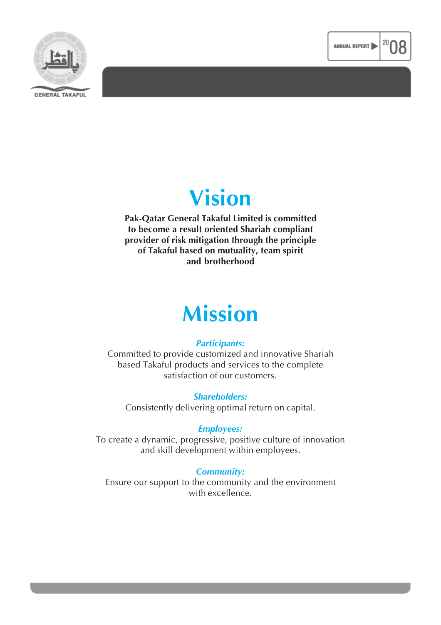



# **Vision**

**Pak-Qatar General Takaful Limited is committed to become a result oriented Shariah compliant provider of risk mitigation through the principle of Takaful based on mutuality, team spirit and brotherhood**

# **Mission**

### *Participants:*

Committed to provide customized and innovative Shariah based Takaful products and services to the complete satisfaction of our customers.

*Shareholders:* Consistently delivering optimal return on capital.

### *Employees:*

To create a dynamic, progressive, positive culture of innovation and skill development within employees.

### *Community:*

Ensure our support to the community and the environment with excellence.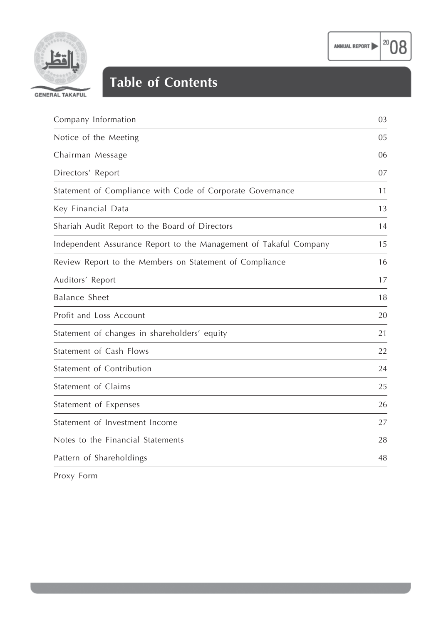

 $|^{20}08$ 



## **Table of Contents**

| Company Information                                               | 03 |
|-------------------------------------------------------------------|----|
| Notice of the Meeting                                             | 05 |
| Chairman Message                                                  | 06 |
| Directors' Report                                                 | 07 |
| Statement of Compliance with Code of Corporate Governance         | 11 |
| Key Financial Data                                                | 13 |
| Shariah Audit Report to the Board of Directors                    | 14 |
| Independent Assurance Report to the Management of Takaful Company | 15 |
| Review Report to the Members on Statement of Compliance           | 16 |
| Auditors' Report                                                  | 17 |
| <b>Balance Sheet</b>                                              | 18 |
| Profit and Loss Account                                           | 20 |
| Statement of changes in shareholders' equity                      | 21 |
| Statement of Cash Flows                                           | 22 |
| Statement of Contribution                                         | 24 |
| Statement of Claims                                               | 25 |
| Statement of Expenses                                             | 26 |
| Statement of Investment Income                                    | 27 |
| Notes to the Financial Statements                                 | 28 |
| Pattern of Shareholdings                                          | 48 |

Proxy Form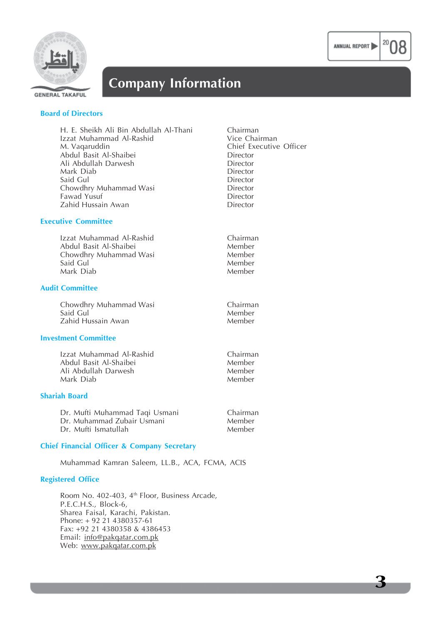



## **Company Information**

**GENERAL TAKAFUL** 

#### **Board of Directors**

| H. E. Sheikh Ali Bin Abdullah Al-Thani | Chairman                |
|----------------------------------------|-------------------------|
| Izzat Muhammad Al-Rashid               | Vice Chairman           |
| M. Vaqaruddin                          | Chief Executive Officer |
| Abdul Basit Al-Shaibei                 | Director                |
| Ali Abdullah Darwesh                   | Director                |
| Mark Diab                              | Director                |
| Said Gul                               | Director                |
| Chowdhry Muhammad Wasi                 | Director                |
| Fawad Yusuf                            | Director                |
| Zahid Hussain Awan                     | Director                |
|                                        |                         |

Chairman **Member** Member Member Member

#### **Executive Committee**

| Izzat Muhammad Al-Rashid |
|--------------------------|
| Abdul Basit Al-Shaibei   |
| Chowdhry Muhammad Wasi   |
| Said Gul                 |
| Mark Diab                |

#### **Audit Committee**

Chowdhry Muhammad Wasi **Chairman**<br>Said Gul Chairman Chairman Said Gul Member Zahid Hussain Awan

#### **Investment Committee**

Izzat Muhammad Al-Rashid Chairman Abdul Basit Al-Shaibei Member Ali Abdullah Darwesh Member Mark Diab

#### **Shariah Board**

| Dr. Mufti Muhammad Taqi Usmani | <b>Chairman</b> |
|--------------------------------|-----------------|
| Dr. Muhammad Zubair Usmani     | Member          |
| Dr. Mufti Ismatullah           | Member          |

#### **Chief Financial Officer & Company Secretary**

Muhammad Kamran Saleem, LL.B., ACA, FCMA, ACIS

#### **Registered Office**

Room No. 402-403, 4<sup>th</sup> Floor, Business Arcade, P.E.C.H.S., Block-6, Sharea Faisal, Karachi, Pakistan. Phone: + 92 21 4380357-61 Fax: +92 21 4380358 & 4386453 Email: info@pakqatar.com.pk Web: www.pakqatar.com.pk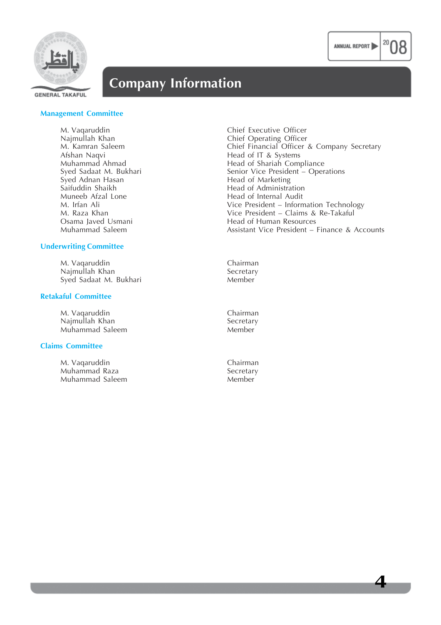



## **Company Information**

**GENERAL TAKAFUL** 

#### **Management Committee**

M. Vaqaruddin Chief Executive Officer<br>
Najmullah Khan Chief Operating Officer Afshan Naqvi Head of IT & Systems Syed Adnan Hasan **Head of Marketing**<br>
Saifuddin Shaikh **Head of Administra** Saifuddin Shaikh **Head of Administration**<br>
Muneeb Afzal Lone **Head of Internal Audit** 

#### **Underwriting Committee**

M. Vaqaruddin Chairman Najmullah Khan Secretary Syed Sadaat M. Bukhari

#### **Retakaful Committee**

M. Vaqaruddin Chairman Chairman Chairman Chairman Chairman Chairman Chairman Chairman Chairman Chairman Chairman Chairman Chairman Chairman Chairman Chairman Chairman Chairman Chairman Chairman Chairman Chairman Chairman C Najmullah Khan Secretary<br>Muhammad Saleem Secretary Muhammad Saleem

#### **Claims Committee**

M. Vaqaruddin Chairman Muhammad Raza<br>Muhammad Saleem Saleem Secretary Muhammad Saleem

Najmullah Khan Chief Operating Officer<br>
M. Kamran Saleem Chief Financial Officer M. Kamran Saleem Chief Financial Officer & Company Secretary<br>Afshan Naqvi Head of IT & Systems Muhammad Ahmad<br>
Syed Sadaat M. Bukhari<br>
Senior Vice President – Oper Senior Vice President – Operations Head of Internal Audit M. Irfan Ali Vice President – Information Technology M. Raza Khan **M. Raza Khan** Vice President – Claims & Re-Takaful Osama laved Usmani Osama Javed Usmani Head of Human Resources Assistant Vice President – Finance & Accounts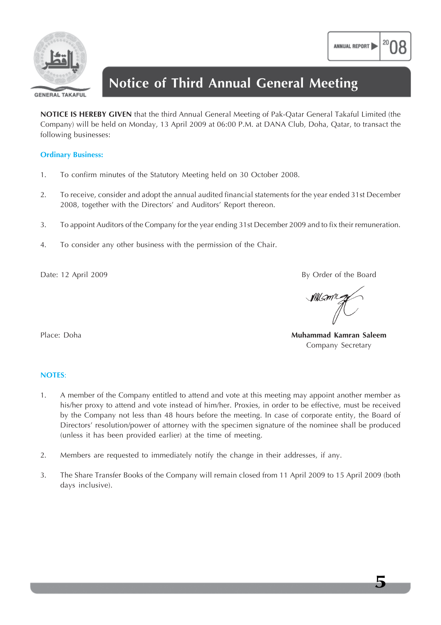

**GENERAL TAKAFUL** 

## **Notice of Third Annual General Meeting**

**NOTICE IS HEREBY GIVEN** that the third Annual General Meeting of Pak-Qatar General Takaful Limited (the Company) will be held on Monday, 13 April 2009 at 06:00 P.M. at DANA Club, Doha, Qatar, to transact the following businesses:

#### **Ordinary Business:**

- 1. To confirm minutes of the Statutory Meeting held on 30 October 2008.
- 2. To receive, consider and adopt the annual audited financial statements for the year ended 31st December 2008, together with the Directors' and Auditors' Report thereon.
- 3. To appoint Auditors of the Company for the year ending 31st December 2009 and to fix their remuneration.
- 4. To consider any other business with the permission of the Chair.

Date: 12 April 2009 By Order of the Board

MILAML

Place: Doha **Muhammad Kamran Saleem** Company Secretary

**5**

#### **NOTES**:

- 1. A member of the Company entitled to attend and vote at this meeting may appoint another member as his/her proxy to attend and vote instead of him/her. Proxies, in order to be effective, must be received by the Company not less than 48 hours before the meeting. In case of corporate entity, the Board of Directors' resolution/power of attorney with the specimen signature of the nominee shall be produced (unless it has been provided earlier) at the time of meeting.
- 2. Members are requested to immediately notify the change in their addresses, if any.
- 3. The Share Transfer Books of the Company will remain closed from 11 April 2009 to 15 April 2009 (both days inclusive).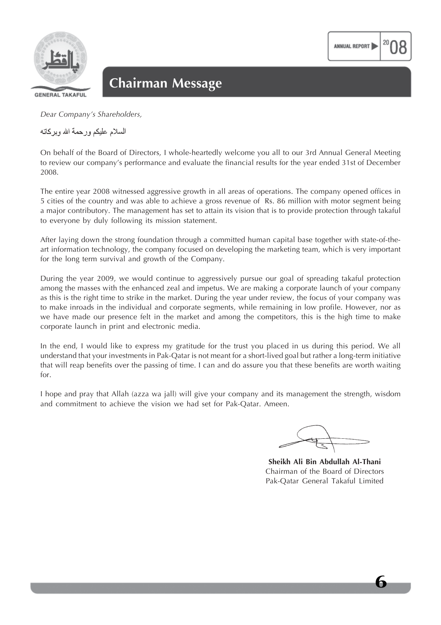

**GENERAL TAKAFUL** 

*Dear Company's Shareholders,*

السلام عليكم ورحمة الله ويركاته

On behalf of the Board of Directors, I whole-heartedly welcome you all to our 3rd Annual General Meeting to review our company's performance and evaluate the financial results for the year ended 31st of December 2008.

The entire year 2008 witnessed aggressive growth in all areas of operations. The company opened offices in 5 cities of the country and was able to achieve a gross revenue of Rs. 86 million with motor segment being a major contributory. The management has set to attain its vision that is to provide protection through takaful to everyone by duly following its mission statement.

After laying down the strong foundation through a committed human capital base together with state-of-theart information technology, the company focused on developing the marketing team, which is very important for the long term survival and growth of the Company.

During the year 2009, we would continue to aggressively pursue our goal of spreading takaful protection among the masses with the enhanced zeal and impetus. We are making a corporate launch of your company as this is the right time to strike in the market. During the year under review, the focus of your company was to make inroads in the individual and corporate segments, while remaining in low profile. However, nor as we have made our presence felt in the market and among the competitors, this is the high time to make corporate launch in print and electronic media.

In the end, I would like to express my gratitude for the trust you placed in us during this period. We all understand that your investments in Pak-Qatar is not meant for a short-lived goal but rather a long-term initiative that will reap benefits over the passing of time. I can and do assure you that these benefits are worth waiting for.

I hope and pray that Allah (azza wa jall) will give your company and its management the strength, wisdom and commitment to achieve the vision we had set for Pak-Qatar. Ameen.

ANNUAL REPORT

**Sheikh Ali Bin Abdullah Al-Thani** Chairman of the Board of Directors Pak-Qatar General Takaful Limited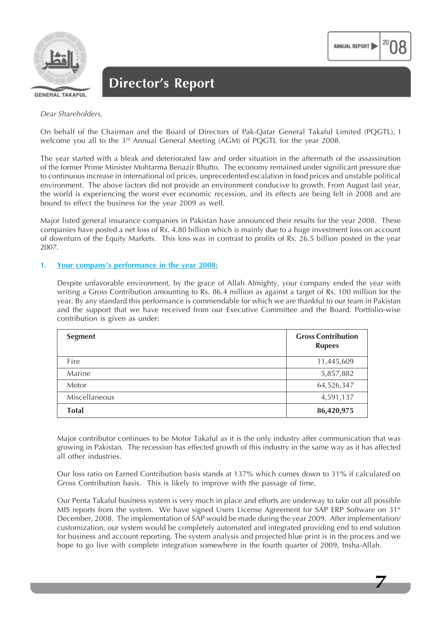

On behalf of the Chairman and the Board of Directors of Pak-Qatar General Takaful Limited (PQGTL), I welcome you all to the 3rd Annual General Meeting (AGM) of PQGTL for the year 2008.

The year started with a bleak and deteriorated law and order situation in the aftermath of the assassination of the former Prime Minister Mohtarma Benazir Bhutto. The economy remained under significant pressure due to continuous increase in international oil prices, unprecedented escalation in food prices and unstable political environment. The above factors did not provide an environment conducive to growth. From August last year, the world is experiencing the worst ever economic recession, and its effects are being felt in 2008 and are bound to effect the business for the year 2009 as well.

Major listed general insurance companies in Pakistan have announced their results for the year 2008. These companies have posted a net loss of Rs. 4.80 billion which is mainly due to a huge investment loss on account of downturn of the Equity Markets. This loss was in contrast to profits of Rs. 26.5 billion posted in the year 2007.

#### **1. Your company's performance in the year 2008:**

Despite unfavorable environment, by the grace of Allah Almighty, your company ended the year with writing a Gross Contribution amounting to Rs. 86.4 million as against a target of Rs. 100 million for the year. By any standard this performance is commendable for which we are thankful to our team in Pakistan and the support that we have received from our Executive Committee and the Board. Portfolio-wise contribution is given as under:

| <b>Segment</b> | <b>Gross Contribution</b><br><b>Rupees</b> |
|----------------|--------------------------------------------|
| Fire           | 11,445,609                                 |
| Marine         | 5,857,882                                  |
| Motor          | 64,526,347                                 |
| Miscellaneous  | 4,591,137                                  |
| <b>Total</b>   | 86,420,975                                 |

Major contributor continues to be Motor Takaful as it is the only industry after communication that was growing in Pakistan. The recession has effected growth of this industry in the same way as it has affected all other industries.

Our loss ratio on Earned Contribution basis stands at 137% which comes down to 31% if calculated on Gross Contribution basis. This is likely to improve with the passage of time.

Our Penta Takaful business system is very much in place and efforts are underway to take out all possible MIS reports from the system. We have signed Users License Agreement for SAP ERP Software on  $31<sup>st</sup>$ December, 2008. The implementation of SAP would be made during the year 2009. After implementation/ customization, our system would be completely automated and integrated providing end to end solution for business and account reporting. The system analysis and projected blue print is in the process and we hope to go live with complete integration somewhere in the fourth quarter of 2009, Insha-Allah.

**7**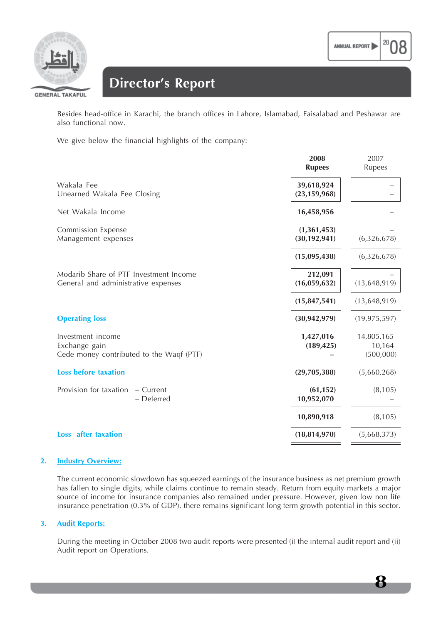

## **Director's Report**

Besides head-office in Karachi, the branch offices in Lahore, Islamabad, Faisalabad and Peshawar are also functional now.

We give below the financial highlights of the company:

|                                                                                | 2008<br><b>Rupees</b>           | 2007<br>Rupees                    |
|--------------------------------------------------------------------------------|---------------------------------|-----------------------------------|
| Wakala Fee<br>Unearned Wakala Fee Closing                                      | 39,618,924<br>(23, 159, 968)    |                                   |
| Net Wakala Income                                                              | 16,458,956                      |                                   |
| <b>Commission Expense</b><br>Management expenses                               | (1, 361, 453)<br>(30, 192, 941) | (6,326,678)                       |
|                                                                                | (15,095,438)                    | (6,326,678)                       |
| Modarib Share of PTF Investment Income<br>General and administrative expenses  | 212,091<br>(16,059,632)         | (13, 648, 919)                    |
|                                                                                | (15, 847, 541)                  | (13, 648, 919)                    |
| <b>Operating loss</b>                                                          | (30, 942, 979)                  | (19, 975, 597)                    |
| Investment income<br>Exchange gain<br>Cede money contributed to the Waqf (PTF) | 1,427,016<br>(189, 425)         | 14,805,165<br>10,164<br>(500,000) |
| <b>Loss before taxation</b>                                                    | (29,705,388)                    | (5,660,268)                       |
| Provision for taxation<br>- Current<br>- Deferred                              | (61, 152)<br>10,952,070         | (8, 105)                          |
|                                                                                | 10,890,918                      | (8, 105)                          |
| <b>Loss</b> after taxation                                                     | (18, 814, 970)                  | (5,668,373)                       |

#### **2. Industry Overview:**

The current economic slowdown has squeezed earnings of the insurance business as net premium growth has fallen to single digits, while claims continue to remain steady. Return from equity markets a major source of income for insurance companies also remained under pressure. However, given low non life insurance penetration (0.3% of GDP), there remains significant long term growth potential in this sector.

#### **3. Audit Reports:**

During the meeting in October 2008 two audit reports were presented (i) the internal audit report and (ii) Audit report on Operations.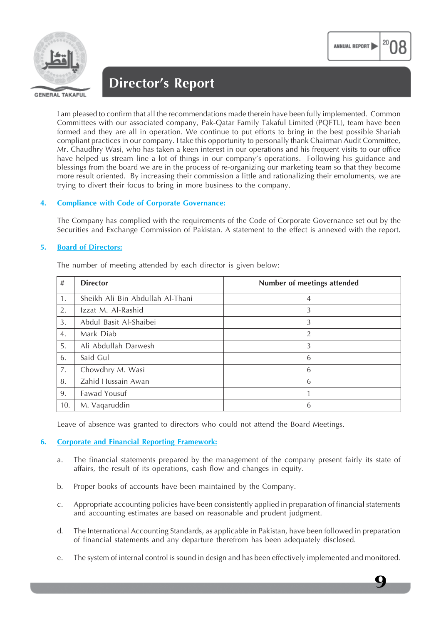

I am pleased to confirm that all the recommendations made therein have been fully implemented. Common Committees with our associated company, Pak-Qatar Family Takaful Limited (PQFTL), team have been formed and they are all in operation. We continue to put efforts to bring in the best possible Shariah compliant practices in our company. I take this opportunity to personally thank Chairman Audit Committee, Mr. Chaudhry Wasi, who has taken a keen interest in our operations and his frequent visits to our office have helped us stream line a lot of things in our company's operations. Following his guidance and blessings from the board we are in the process of re-organizing our marketing team so that they become

ANNUAL REPORT

#### **4. Compliance with Code of Corporate Governance:**

The Company has complied with the requirements of the Code of Corporate Governance set out by the Securities and Exchange Commission of Pakistan. A statement to the effect is annexed with the report.

more result oriented. By increasing their commission a little and rationalizing their emoluments, we are

#### **5. Board of Directors:**

|  |          | The number of meeting attended by each director is given below: |  |  |  |  |
|--|----------|-----------------------------------------------------------------|--|--|--|--|
|  | لی ایس ا |                                                                 |  |  |  |  |

trying to divert their focus to bring in more business to the company.

| #   | <b>Director</b>                  | Number of meetings attended |
|-----|----------------------------------|-----------------------------|
| 1.  | Sheikh Ali Bin Abdullah Al-Thani | 4                           |
| 2.  | Izzat M. Al-Rashid               | 3                           |
| 3.  | Abdul Basit Al-Shaibei           | 3                           |
| 4.  | Mark Diab                        | 2                           |
| 5.  | Ali Abdullah Darwesh             | 3                           |
| 6.  | Said Gul                         | 6                           |
| 7.  | Chowdhry M. Wasi                 | 6                           |
| 8.  | Zahid Hussain Awan               | 6                           |
| 9.  | Fawad Yousuf                     |                             |
| 10. | M. Vaqaruddin                    | 6                           |

Leave of absence was granted to directors who could not attend the Board Meetings.

#### **6. Corporate and Financial Reporting Framework:**

- a. The financial statements prepared by the management of the company present fairly its state of affairs, the result of its operations, cash flow and changes in equity.
- b. Proper books of accounts have been maintained by the Company.
- c. Appropriate accounting policies have been consistently applied in preparation of financia**l** statements and accounting estimates are based on reasonable and prudent judgment.
- d. The International Accounting Standards, as applicable in Pakistan, have been followed in preparation of financial statements and any departure therefrom has been adequately disclosed.
- e. The system of internal control is sound in design and has been effectively implemented and monitored.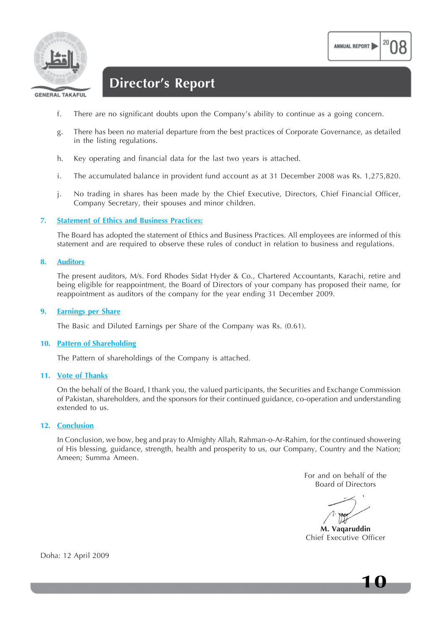

**GENERAL TAKAFUL** 

## **Director's Report**

- f. There are no significant doubts upon the Company's ability to continue as a going concern.
- g. There has been no material departure from the best practices of Corporate Governance, as detailed in the listing regulations.
- h. Key operating and financial data for the last two years is attached.
- i. The accumulated balance in provident fund account as at 31 December 2008 was Rs. 1,275,820.
- j. No trading in shares has been made by the Chief Executive, Directors, Chief Financial Officer, Company Secretary, their spouses and minor children.

#### **7. Statement of Ethics and Business Practices:**

The Board has adopted the statement of Ethics and Business Practices. All employees are informed of this statement and are required to observe these rules of conduct in relation to business and regulations.

#### **8. Auditors**

The present auditors, M/s. Ford Rhodes Sidat Hyder & Co., Chartered Accountants, Karachi, retire and being eligible for reappointment, the Board of Directors of your company has proposed their name, for reappointment as auditors of the company for the year ending 31 December 2009.

#### **9. Earnings per Share**

The Basic and Diluted Earnings per Share of the Company was Rs. (0.61).

#### **10. Pattern of Shareholding**

The Pattern of shareholdings of the Company is attached.

#### **11. Vote of Thanks**

On the behalf of the Board, I thank you, the valued participants, the Securities and Exchange Commission of Pakistan, shareholders, and the sponsors for their continued guidance, co-operation and understanding extended to us.

#### **12. Conclusion**

In Conclusion, we bow, beg and pray to Almighty Allah, Rahman-o-Ar-Rahim, for the continued showering of His blessing, guidance, strength, health and prosperity to us, our Company, Country and the Nation; Ameen; Summa Ameen.

> For and on behalf of the Board of Directors

ANNUAL REPORT

**M. Vaqaruddin** Chief Executive Officer

Doha: 12 April 2009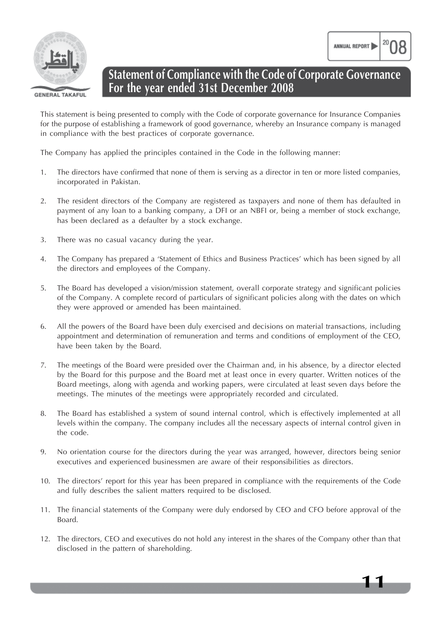

**Statement of Compliance with the Code of Corporate Governance For the year ended 31st December 2008**

This statement is being presented to comply with the Code of corporate governance for Insurance Companies for the purpose of establishing a framework of good governance, whereby an Insurance company is managed in compliance with the best practices of corporate governance.

The Company has applied the principles contained in the Code in the following manner:

- 1. The directors have confirmed that none of them is serving as a director in ten or more listed companies, incorporated in Pakistan.
- 2. The resident directors of the Company are registered as taxpayers and none of them has defaulted in payment of any loan to a banking company, a DFI or an NBFI or, being a member of stock exchange, has been declared as a defaulter by a stock exchange.
- 3. There was no casual vacancy during the year.
- 4. The Company has prepared a 'Statement of Ethics and Business Practices' which has been signed by all the directors and employees of the Company.
- 5. The Board has developed a vision/mission statement, overall corporate strategy and significant policies of the Company. A complete record of particulars of significant policies along with the dates on which they were approved or amended has been maintained.
- 6. All the powers of the Board have been duly exercised and decisions on material transactions, including appointment and determination of remuneration and terms and conditions of employment of the CEO, have been taken by the Board.
- 7. The meetings of the Board were presided over the Chairman and, in his absence, by a director elected by the Board for this purpose and the Board met at least once in every quarter. Written notices of the Board meetings, along with agenda and working papers, were circulated at least seven days before the meetings. The minutes of the meetings were appropriately recorded and circulated.
- 8. The Board has established a system of sound internal control, which is effectively implemented at all levels within the company. The company includes all the necessary aspects of internal control given in the code.
- 9. No orientation course for the directors during the year was arranged, however, directors being senior executives and experienced businessmen are aware of their responsibilities as directors.
- 10. The directors' report for this year has been prepared in compliance with the requirements of the Code and fully describes the salient matters required to be disclosed.
- 11. The financial statements of the Company were duly endorsed by CEO and CFO before approval of the Board.
- 12. The directors, CEO and executives do not hold any interest in the shares of the Company other than that disclosed in the pattern of shareholding.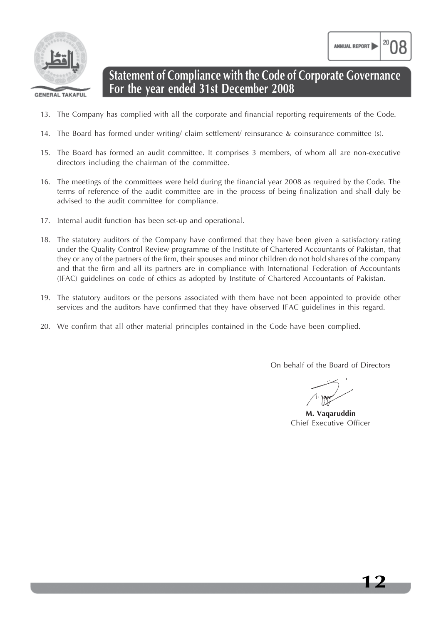

ANNUAL REPORT

## **Statement of Compliance with the Code of Corporate Governance For the year ended 31st December 2008**

- 13. The Company has complied with all the corporate and financial reporting requirements of the Code.
- 14. The Board has formed under writing/ claim settlement/ reinsurance & coinsurance committee (s).
- 15. The Board has formed an audit committee. It comprises 3 members, of whom all are non-executive directors including the chairman of the committee.
- 16. The meetings of the committees were held during the financial year 2008 as required by the Code. The terms of reference of the audit committee are in the process of being finalization and shall duly be advised to the audit committee for compliance.
- 17. Internal audit function has been set-up and operational.
- 18. The statutory auditors of the Company have confirmed that they have been given a satisfactory rating under the Quality Control Review programme of the Institute of Chartered Accountants of Pakistan, that they or any of the partners of the firm, their spouses and minor children do not hold shares of the company and that the firm and all its partners are in compliance with International Federation of Accountants (IFAC) guidelines on code of ethics as adopted by Institute of Chartered Accountants of Pakistan.
- 19. The statutory auditors or the persons associated with them have not been appointed to provide other services and the auditors have confirmed that they have observed IFAC guidelines in this regard.
- 20. We confirm that all other material principles contained in the Code have been complied.

On behalf of the Board of Directors

**M. Vaqaruddin** Chief Executive Officer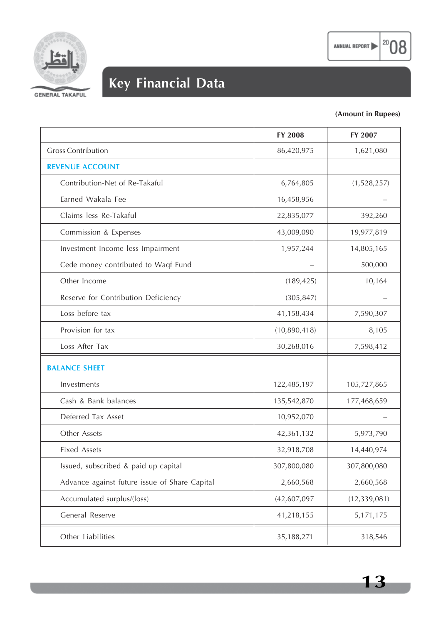



# **Key Financial Data**

### **(Amount in Rupees)**

 $|^{20}$ 08

|                                               | FY 2008      | FY 2007        |
|-----------------------------------------------|--------------|----------------|
| <b>Gross Contribution</b>                     | 86,420,975   | 1,621,080      |
| <b>REVENUE ACCOUNT</b>                        |              |                |
| Contribution-Net of Re-Takaful                | 6,764,805    | (1,528,257)    |
| Earned Wakala Fee                             | 16,458,956   |                |
| Claims less Re-Takaful                        | 22,835,077   | 392,260        |
| Commission & Expenses                         | 43,009,090   | 19,977,819     |
| Investment Income less Impairment             | 1,957,244    | 14,805,165     |
| Cede money contributed to Waqf Fund           |              | 500,000        |
| Other Income                                  | (189, 425)   | 10,164         |
| Reserve for Contribution Deficiency           | (305, 847)   |                |
| Loss before tax                               | 41,158,434   | 7,590,307      |
| Provision for tax                             | (10,890,418) | 8,105          |
| Loss After Tax                                | 30,268,016   | 7,598,412      |
| <b>BALANCE SHEET</b>                          |              |                |
| Investments                                   | 122,485,197  | 105,727,865    |
| Cash & Bank balances                          | 135,542,870  | 177,468,659    |
| Deferred Tax Asset                            | 10,952,070   |                |
| Other Assets                                  | 42,361,132   | 5,973,790      |
| <b>Fixed Assets</b>                           | 32,918,708   | 14,440,974     |
| Issued, subscribed & paid up capital          | 307,800,080  | 307,800,080    |
| Advance against future issue of Share Capital | 2,660,568    | 2,660,568      |
| Accumulated surplus/(loss)                    | (42,607,097) | (12, 339, 081) |
| General Reserve                               | 41,218,155   | 5,171,175      |
| Other Liabilities                             | 35,188,271   | 318,546        |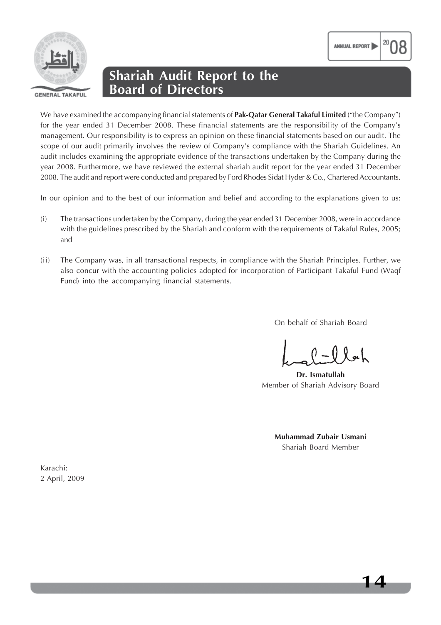

## **Shariah Audit Report to the Board of Directors**

We have examined the accompanying financial statements of **Pak-Qatar General Takaful Limited** ("the Company") for the year ended 31 December 2008. These financial statements are the responsibility of the Company's management. Our responsibility is to express an opinion on these financial statements based on our audit. The scope of our audit primarily involves the review of Company's compliance with the Shariah Guidelines. An audit includes examining the appropriate evidence of the transactions undertaken by the Company during the year 2008. Furthermore, we have reviewed the external shariah audit report for the year ended 31 December 2008. The audit and report were conducted and prepared by Ford Rhodes Sidat Hyder & Co., Chartered Accountants.

In our opinion and to the best of our information and belief and according to the explanations given to us:

- (i) The transactions undertaken by the Company, during the year ended 31 December 2008, were in accordance with the guidelines prescribed by the Shariah and conform with the requirements of Takaful Rules, 2005; and
- (ii) The Company was, in all transactional respects, in compliance with the Shariah Principles. Further, we also concur with the accounting policies adopted for incorporation of Participant Takaful Fund (Waqf Fund) into the accompanying financial statements.

On behalf of Shariah Board

ANNUAL REPORT

**Dr. Ismatullah** Member of Shariah Advisory Board

**Muhammad Zubair Usmani** Shariah Board Member

Karachi: 2 April, 2009

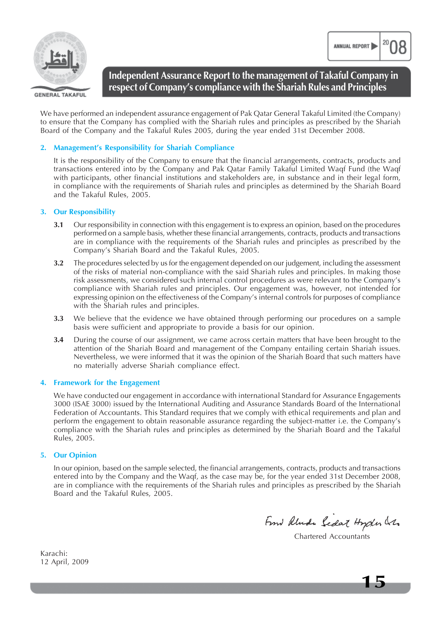



**GENERAL TAKAFUL** 

**Independent Assurance Report to the management of Takaful Company in respect of Company's compliance with the Shariah Rules and Principles**

We have performed an independent assurance engagement of Pak Qatar General Takaful Limited (the Company) to ensure that the Company has complied with the Shariah rules and principles as prescribed by the Shariah Board of the Company and the Takaful Rules 2005, during the year ended 31st December 2008.

#### **2. Management's Responsibility for Shariah Compliance**

It is the responsibility of the Company to ensure that the financial arrangements, contracts, products and transactions entered into by the Company and Pak Qatar Family Takaful Limited Waqf Fund (the Waqf with participants, other financial institutions and stakeholders are, in substance and in their legal form, in compliance with the requirements of Shariah rules and principles as determined by the Shariah Board and the Takaful Rules, 2005.

#### **3. Our Responsibility**

- **3.1** Our responsibility in connection with this engagement is to express an opinion, based on the procedures performed on a sample basis, whether these financial arrangements, contracts, products and transactions are in compliance with the requirements of the Shariah rules and principles as prescribed by the Company's Shariah Board and the Takaful Rules, 2005.
- **3.2** The procedures selected by us for the engagement depended on our judgement, including the assessment of the risks of material non-compliance with the said Shariah rules and principles. In making those risk assessments, we considered such internal control procedures as were relevant to the Company's compliance with Shariah rules and principles. Our engagement was, however, not intended for expressing opinion on the effectiveness of the Company's internal controls for purposes of compliance with the Shariah rules and principles.
- **3.3** We believe that the evidence we have obtained through performing our procedures on a sample basis were sufficient and appropriate to provide a basis for our opinion.
- **3.4** During the course of our assignment, we came across certain matters that have been brought to the attention of the Shariah Board and management of the Company entailing certain Shariah issues. Nevertheless, we were informed that it was the opinion of the Shariah Board that such matters have no materially adverse Shariah compliance effect.

#### **4. Framework for the Engagement**

We have conducted our engagement in accordance with international Standard for Assurance Engagements 3000 (ISAE 3000) issued by the International Auditing and Assurance Standards Board of the International Federation of Accountants. This Standard requires that we comply with ethical requirements and plan and perform the engagement to obtain reasonable assurance regarding the subject-matter i.e. the Company's compliance with the Shariah rules and principles as determined by the Shariah Board and the Takaful Rules, 2005.

#### **5. Our Opinion**

In our opinion, based on the sample selected, the financial arrangements, contracts, products and transactions entered into by the Company and the Waqf, as the case may be, for the year ended 31st December 2008, are in compliance with the requirements of the Shariah rules and principles as prescribed by the Shariah Board and the Takaful Rules, 2005.

From Rlunde Sedat Hyden Les

Chartered Accountants

Karachi: 12 April, 2009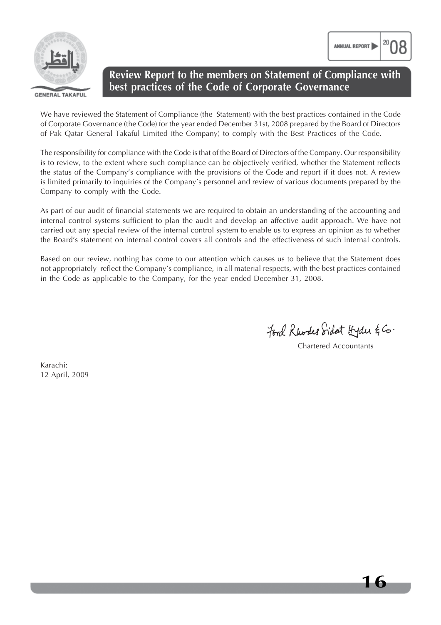

### **Review Report to the members on Statement of Compliance with best practices of the Code of Corporate Governance**

We have reviewed the Statement of Compliance (the Statement) with the best practices contained in the Code of Corporate Governance (the Code) for the year ended December 31st, 2008 prepared by the Board of Directors of Pak Qatar General Takaful Limited (the Company) to comply with the Best Practices of the Code.

The responsibility for compliance with the Code is that of the Board of Directors of the Company. Our responsibility is to review, to the extent where such compliance can be objectively verified, whether the Statement reflects the status of the Company's compliance with the provisions of the Code and report if it does not. A review is limited primarily to inquiries of the Company's personnel and review of various documents prepared by the Company to comply with the Code.

As part of our audit of financial statements we are required to obtain an understanding of the accounting and internal control systems sufficient to plan the audit and develop an affective audit approach. We have not carried out any special review of the internal control system to enable us to express an opinion as to whether the Board's statement on internal control covers all controls and the effectiveness of such internal controls.

Based on our review, nothing has come to our attention which causes us to believe that the Statement does not appropriately reflect the Company's compliance, in all material respects, with the best practices contained in the Code as applicable to the Company, for the year ended December 31, 2008.

Ford Rhodes Sidat Hyder & Co.

Chartered Accountants

ANNUAL REPORT

Karachi: 12 April, 2009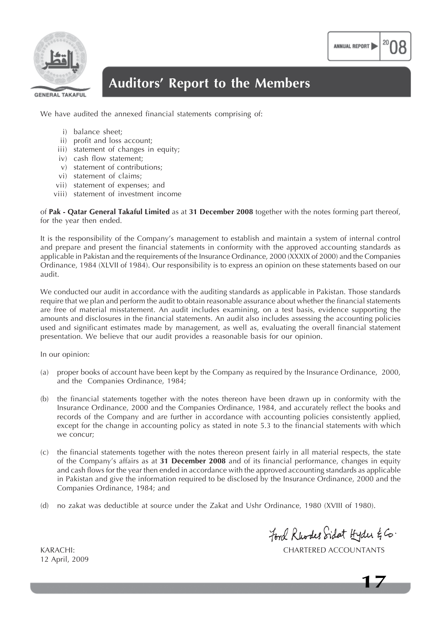

## **Auditors' Report to the Members**

We have audited the annexed financial statements comprising of:

- i) balance sheet;
- ii) profit and loss account;
- iii) statement of changes in equity;
- iv) cash flow statement;
- v) statement of contributions;
- vi) statement of claims;
- vii) statement of expenses; and
- viii) statement of investment income

of **Pak - Qatar General Takaful Limited** as at **31 December 2008** together with the notes forming part thereof, for the year then ended.

It is the responsibility of the Company's management to establish and maintain a system of internal control and prepare and present the financial statements in conformity with the approved accounting standards as applicable in Pakistan and the requirements of the Insurance Ordinance, 2000 (XXXIX of 2000) and the Companies Ordinance, 1984 (XLVII of 1984). Our responsibility is to express an opinion on these statements based on our audit.

We conducted our audit in accordance with the auditing standards as applicable in Pakistan. Those standards require that we plan and perform the audit to obtain reasonable assurance about whether the financial statements are free of material misstatement. An audit includes examining, on a test basis, evidence supporting the amounts and disclosures in the financial statements. An audit also includes assessing the accounting policies used and significant estimates made by management, as well as, evaluating the overall financial statement presentation. We believe that our audit provides a reasonable basis for our opinion.

In our opinion:

- (a) proper books of account have been kept by the Company as required by the Insurance Ordinance, 2000, and the Companies Ordinance, 1984;
- (b) the financial statements together with the notes thereon have been drawn up in conformity with the Insurance Ordinance, 2000 and the Companies Ordinance, 1984, and accurately reflect the books and records of the Company and are further in accordance with accounting policies consistently applied, except for the change in accounting policy as stated in note 5.3 to the financial statements with which we concur;
- (c) the financial statements together with the notes thereon present fairly in all material respects, the state of the Company's affairs as at **31 December 2008** and of its financial performance, changes in equity and cash flows for the year then ended in accordance with the approved accounting standards as applicable in Pakistan and give the information required to be disclosed by the Insurance Ordinance, 2000 and the Companies Ordinance, 1984; and
- (d) no zakat was deductible at source under the Zakat and Ushr Ordinance, 1980 (XVIII of 1980).

Ford Rhodes Sidat Hyder & Co.

KARACHI: CHARTERED ACCOUNTANTS

**17**

12 April, 2009

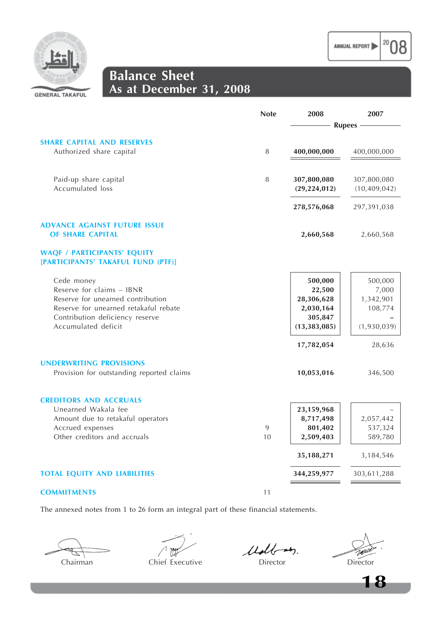



**Balance Sheet As at December 31, 2008**

|                                                      | <b>Note</b> | 2008           | 2007           |
|------------------------------------------------------|-------------|----------------|----------------|
|                                                      |             |                | <b>Rupees</b>  |
| <b>SHARE CAPITAL AND RESERVES</b>                    |             |                |                |
| Authorized share capital                             | 8           | 400,000,000    | 400,000,000    |
|                                                      |             |                |                |
| Paid-up share capital                                | 8           | 307,800,080    | 307,800,080    |
| Accumulated loss                                     |             | (29, 224, 012) | (10, 409, 042) |
|                                                      |             | 278,576,068    | 297,391,038    |
| <b>ADVANCE AGAINST FUTURE ISSUE</b>                  |             |                |                |
| <b>OF SHARE CAPITAL</b>                              |             | 2,660,568      | 2,660,568      |
| <b>WAQF / PARTICIPANTS' EQUITY</b>                   |             |                |                |
| [PARTICIPANTS' TAKAFUL FUND (PTF)]                   |             |                |                |
| Cede money                                           |             | 500,000        | 500,000        |
| Reserve for claims - IBNR                            |             | 22,500         | 7,000          |
| Reserve for unearned contribution                    |             | 28,306,628     | 1,342,901      |
| Reserve for unearned retakaful rebate                |             | 2,030,164      | 108,774        |
| Contribution deficiency reserve                      |             | 305,847        |                |
| Accumulated deficit                                  |             | (13, 383, 085) | (1,930,039)    |
|                                                      |             | 17,782,054     | 28,636         |
| <b>UNDERWRITING PROVISIONS</b>                       |             |                |                |
| Provision for outstanding reported claims            |             | 10,053,016     | 346,500        |
|                                                      |             |                |                |
| <b>CREDITORS AND ACCRUALS</b><br>Unearned Wakala fee |             |                |                |
|                                                      |             | 23,159,968     |                |
| Amount due to retakaful operators                    | 9           | 8,717,498      | 2,057,442      |
| Accrued expenses<br>Other creditors and accruals     |             | 801,402        | 537,324        |
|                                                      | 10          | 2,509,403      | 589,780        |
|                                                      |             | 35,188,271     | 3,184,546      |
| <b>TOTAL EQUITY AND LIABILITIES</b>                  |             | 344,259,977    | 303,611,288    |
| <b>COMMITMENTS</b>                                   | 11          |                |                |

The annexed notes from 1 to 26 form an integral part of these financial statements.

Chairman Chief Executive Director Director Director Director

Molt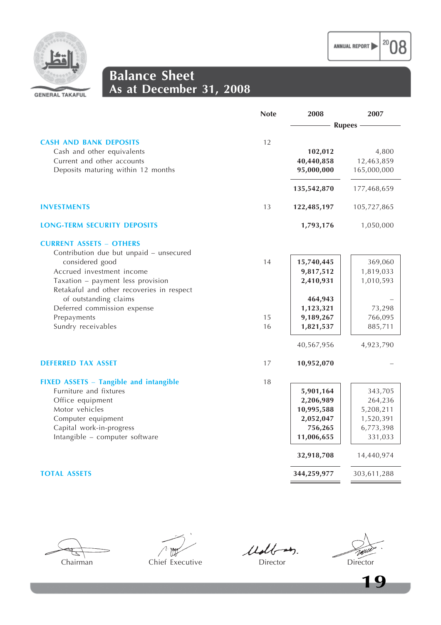

 $|^{20}$ 08



## **Balance Sheet As at December 31, 2008**

|                                               | <b>Note</b> | 2008          | 2007        |
|-----------------------------------------------|-------------|---------------|-------------|
|                                               |             | <b>Rupees</b> |             |
|                                               |             |               |             |
| <b>CASH AND BANK DEPOSITS</b>                 | 12          |               |             |
| Cash and other equivalents                    |             | 102,012       | 4,800       |
| Current and other accounts                    |             | 40,440,858    | 12,463,859  |
| Deposits maturing within 12 months            |             | 95,000,000    | 165,000,000 |
|                                               |             | 135,542,870   | 177,468,659 |
| <b>INVESTMENTS</b>                            | 13          | 122,485,197   | 105,727,865 |
| <b>LONG-TERM SECURITY DEPOSITS</b>            |             | 1,793,176     | 1,050,000   |
| <b>CURRENT ASSETS - OTHERS</b>                |             |               |             |
| Contribution due but unpaid - unsecured       |             |               |             |
| considered good                               | 14          | 15,740,445    | 369,060     |
| Accrued investment income                     |             | 9,817,512     | 1,819,033   |
| Taxation - payment less provision             |             | 2,410,931     | 1,010,593   |
| Retakaful and other recoveries in respect     |             |               |             |
| of outstanding claims                         |             | 464,943       |             |
| Deferred commission expense                   |             | 1,123,321     | 73,298      |
| Prepayments                                   | 15          | 9,189,267     | 766,095     |
| Sundry receivables                            | 16          | 1,821,537     | 885,711     |
|                                               |             | 40,567,956    | 4,923,790   |
| <b>DEFERRED TAX ASSET</b>                     | 17          | 10,952,070    |             |
| <b>FIXED ASSETS - Tangible and intangible</b> | 18          |               |             |
| Furniture and fixtures                        |             | 5,901,164     | 343,705     |
| Office equipment                              |             | 2,206,989     | 264,236     |
| Motor vehicles                                |             | 10,995,588    | 5,208,211   |
| Computer equipment                            |             | 2,052,047     | 1,520,391   |
| Capital work-in-progress                      |             | 756,265       | 6,773,398   |
| Intangible - computer software                |             | 11,006,655    | 331,033     |
|                                               |             | 32,918,708    | 14,440,974  |
| <b>TOTAL ASSETS</b>                           |             | 344,259,977   | 303,611,288 |
|                                               |             |               |             |



 $\frac{1}{100}$ 

Udbay.

TWU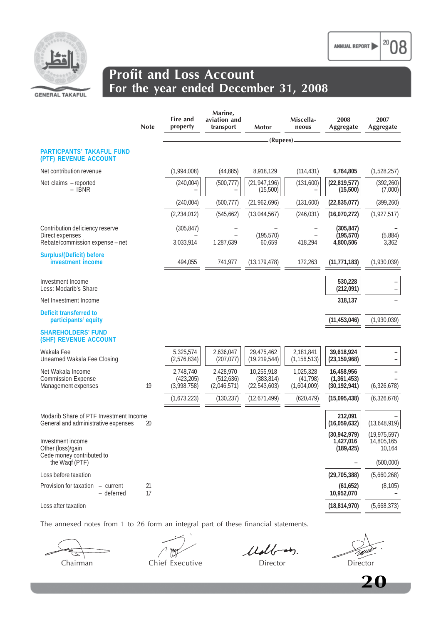

|                                                                               | <b>Note</b> | Fire and<br>property                   | Marine,<br>aviation and<br>transport   | Motor                                      | Miscella-<br>neous                    | 2008<br>Aggregate                           | 2007<br>Aggregate                      |
|-------------------------------------------------------------------------------|-------------|----------------------------------------|----------------------------------------|--------------------------------------------|---------------------------------------|---------------------------------------------|----------------------------------------|
|                                                                               |             |                                        |                                        | (Rupees)-                                  |                                       |                                             |                                        |
| <b>PARTICPANTS' TAKAFUL FUND</b><br>(PTF) REVENUE ACCOUNT                     |             |                                        |                                        |                                            |                                       |                                             |                                        |
| Net contribution revenue                                                      |             | (1,994,008)                            | (44, 885)                              | 8,918,129                                  | (114, 431)                            | 6,764,805                                   | (1,528,257)                            |
| Net claims - reported<br>– IBNR                                               |             | (240,004)                              | (500, 777)                             | (21, 947, 196)<br>(15,500)                 | (131,600)                             | (22, 819, 577)<br>(15,500)                  | (392, 260)<br>(7,000)                  |
|                                                                               |             | (240,004)                              | (500, 777)                             | (21, 962, 696)                             | (131,600)                             | (22, 835, 077)                              | (399, 260)                             |
|                                                                               |             | (2, 234, 012)                          | (545, 662)                             | (13,044,567)                               | (246, 031)                            | (16,070,272)                                | (1, 927, 517)                          |
| Contribution deficiency reserve<br>Direct expenses                            |             | (305, 847)                             |                                        | (195, 570)                                 |                                       | (305, 847)<br>(195, 570)                    | (5,884)                                |
| Rebate/commission expense - net                                               |             | 3,033,914                              | 1,287,639                              | 60,659                                     | 418,294                               | 4,800,506                                   | 3,362                                  |
| Surplus/(Deficit) before<br>investment income                                 |             | 494,055                                | 741,977                                | (13, 179, 478)                             | 172,263                               | (11, 771, 183)                              | (1,930,039)                            |
| Investment Income<br>Less: Modarib's Share                                    |             |                                        |                                        |                                            |                                       | 530,228<br>(212,091)                        |                                        |
| Net Investment Income                                                         |             |                                        |                                        |                                            |                                       | 318,137                                     |                                        |
| Deficit transferred to<br>participants' equity                                |             |                                        |                                        |                                            |                                       | (11, 453, 046)                              | (1,930,039)                            |
| <b>SHAREHOLDERS' FUND</b><br>(SHF) REVENUE ACCOUNT                            |             |                                        |                                        |                                            |                                       |                                             |                                        |
| Wakala Fee<br>Unearned Wakala Fee Closing                                     |             | 5,325,574<br>(2,576,834)               | 2,636,047<br>(207, 077)                | 29,475,462<br>(19, 219, 544)               | 2,181,841<br>(1, 156, 513)            | 39,618,924<br>(23, 159, 968)                |                                        |
| Net Wakala Income<br><b>Commission Expense</b><br>Management expenses         | 19          | 2,748,740<br>(423, 205)<br>(3,998,758) | 2,428,970<br>(512, 636)<br>(2,046,571) | 10,255,918<br>(383, 814)<br>(22, 543, 603) | 1,025,328<br>(41, 798)<br>(1,604,009) | 16,458,956<br>(1,361,453)<br>(30, 192, 941) | (6, 326, 678)                          |
|                                                                               |             | (1,673,223)                            | (130, 237)                             | (12,671,499)                               | (620, 479)                            | (15,095,438)                                | (6,326,678)                            |
| Modarib Share of PTF Investment Income<br>General and administrative expenses | 20          |                                        |                                        |                                            |                                       | 212,091<br>(16,059,632)                     | (13,648,919)                           |
| Investment income<br>Other (loss)/gain<br>Cede money contributed to           |             |                                        |                                        |                                            |                                       | (30, 942, 979)<br>1,427,016<br>(189, 425)   | (19, 975, 597)<br>14,805,165<br>10,164 |
| the Waqf (PTF)                                                                |             |                                        |                                        |                                            |                                       |                                             | (500,000)                              |
| Loss before taxation                                                          |             |                                        |                                        |                                            |                                       | (29, 705, 388)                              | (5,660,268)                            |
| Provision for taxation<br>- current<br>- deferred                             | 21<br>17    |                                        |                                        |                                            |                                       | (61, 652)<br>10,952,070                     | (8, 105)                               |
| Loss after taxation                                                           |             |                                        |                                        |                                            |                                       | (18, 814, 970)                              | (5,668,373)                            |
|                                                                               |             |                                        |                                        |                                            |                                       |                                             |                                        |

The annexed notes from 1 to 26 form an integral part of these financial statements.

Udb  $47.$ 

Chairman Chief Executive Director Director Director

20

ANNUAL REPORT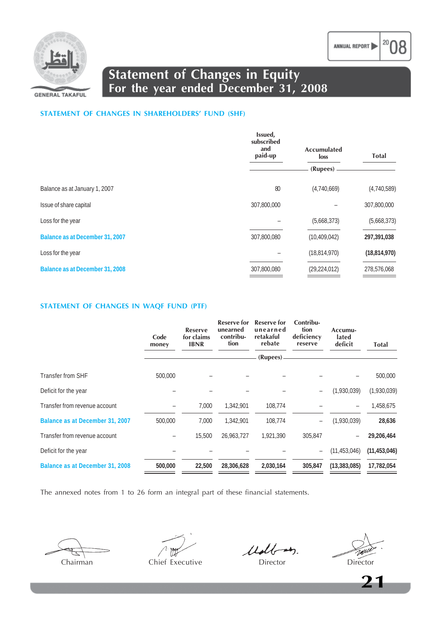

**Statement of Changes in Equity For the year ended December 31, 2008**

#### **STATEMENT OF CHANGES IN SHAREHOLDERS' FUND (SHF)**

|                                 | Issued,<br>subscribed<br>and<br>paid-up | Accumulated<br>loss | <b>Total</b>   |  |
|---------------------------------|-----------------------------------------|---------------------|----------------|--|
|                                 |                                         | (Rupees)            |                |  |
| Balance as at January 1, 2007   | 80                                      | (4,740,669)         | (4,740,589)    |  |
| Issue of share capital          | 307,800,000                             |                     | 307,800,000    |  |
| Loss for the year               |                                         | (5,668,373)         | (5,668,373)    |  |
| Balance as at December 31, 2007 | 307,800,080                             | (10, 409, 042)      | 297,391,038    |  |
| Loss for the year               |                                         | (18, 814, 970)      | (18, 814, 970) |  |
| Balance as at December 31, 2008 | 307,800,080                             | (29, 224, 012)      | 278,576,068    |  |

#### **STATEMENT OF CHANGES IN WAQF FUND (PTF)**

|                                 | Code<br>money | <b>Reserve</b><br>for claims<br><b>IBNR</b> | Reserve for<br>unearned<br>contribu-<br>tion | <b>Reserve for</b><br>unearned<br>retakaful<br>rebate | Contribu-<br>tion<br>deficiency<br>reserve | Accumu-<br>lated<br>deficit | <b>Total</b>   |
|---------------------------------|---------------|---------------------------------------------|----------------------------------------------|-------------------------------------------------------|--------------------------------------------|-----------------------------|----------------|
|                                 |               |                                             |                                              | (Rupees)                                              |                                            |                             |                |
| Transfer from SHF               | 500,000       |                                             |                                              |                                                       |                                            |                             | 500,000        |
| Deficit for the year            |               |                                             |                                              |                                                       |                                            | (1,930,039)                 | (1,930,039)    |
| Transfer from revenue account   |               | 7,000                                       | 1.342.901                                    | 108,774                                               |                                            | $\qquad \qquad -$           | 1,458,675      |
| Balance as at December 31, 2007 | 500,000       | 7,000                                       | 1,342,901                                    | 108,774                                               | $\overline{\phantom{0}}$                   | (1,930,039)                 | 28,636         |
| Transfer from revenue account   |               | 15,500                                      | 26,963,727                                   | 1,921,390                                             | 305,847                                    | $\overline{\phantom{0}}$    | 29,206,464     |
| Deficit for the year            |               |                                             |                                              |                                                       | $\overline{\phantom{a}}$                   | (11, 453, 046)              | (11, 453, 046) |
| Balance as at December 31, 2008 | 500,000       | 22,500                                      | 28,306,628                                   | 2,030,164                                             | 305,847                                    | (13, 383, 085)              | 17,782,054     |

The annexed notes from 1 to 26 form an integral part of these financial statements.

Chairman Chief Executive Director Director Director

Udb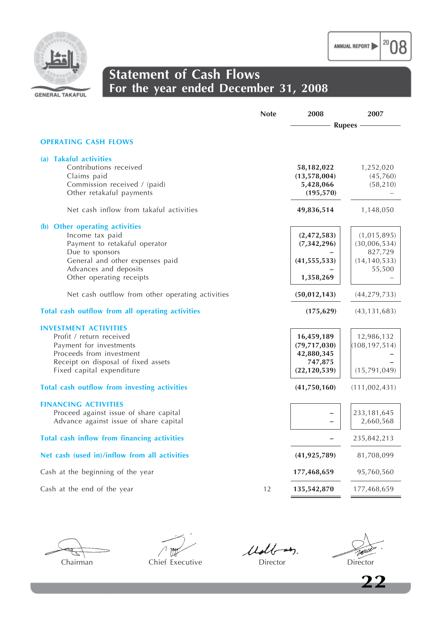

 $|^{20}08$ 



## **Statement of Cash Flows For the year ended December 31, 2008**

|                                                                                                                                                                                               | <b>Note</b> | 2008<br>2007                                                            |                                                                    |  |
|-----------------------------------------------------------------------------------------------------------------------------------------------------------------------------------------------|-------------|-------------------------------------------------------------------------|--------------------------------------------------------------------|--|
|                                                                                                                                                                                               |             | <b>Rupees</b>                                                           |                                                                    |  |
| <b>OPERATING CASH FLOWS</b>                                                                                                                                                                   |             |                                                                         |                                                                    |  |
| (a) Takaful activities<br>Contributions received<br>Claims paid<br>Commission received / (paid)<br>Other retakaful payments                                                                   |             | 58,182,022<br>(13,578,004)<br>5,428,066<br>(195, 570)                   | 1,252,020<br>(45,760)<br>(58, 210)                                 |  |
| Net cash inflow from takaful activities                                                                                                                                                       |             | 49,836,514                                                              | 1,148,050                                                          |  |
| (b) Other operating activities<br>Income tax paid<br>Payment to retakaful operator<br>Due to sponsors<br>General and other expenses paid<br>Advances and deposits<br>Other operating receipts |             | (2, 472, 583)<br>(7, 342, 296)<br>(41, 555, 533)<br>1,358,269           | (1,015,895)<br>(30,006,534)<br>827,729<br>(14, 140, 533)<br>55,500 |  |
| Net cash outflow from other operating activities                                                                                                                                              |             | (50, 012, 143)                                                          | (44, 279, 733)                                                     |  |
| Total cash outflow from all operating activities                                                                                                                                              |             | (175, 629)                                                              | (43, 131, 683)                                                     |  |
| <b>INVESTMENT ACTIVITIES</b><br>Profit / return received<br>Payment for investments<br>Proceeds from investment<br>Receipt on disposal of fixed assets<br>Fixed capital expenditure           |             | 16,459,189<br>(79, 717, 030)<br>42,880,345<br>747,875<br>(22, 120, 539) | 12,986,132<br>(108, 197, 514)<br>(15, 791, 049)                    |  |
| Total cash outflow from investing activities                                                                                                                                                  |             | (41,750,160)                                                            | (111,002,431)                                                      |  |
| <b>FINANCING ACTIVITIES</b><br>Proceed against issue of share capital<br>Advance against issue of share capital                                                                               |             |                                                                         | 233, 181, 645<br>2,660,568                                         |  |
| Total cash inflow from financing activities                                                                                                                                                   |             |                                                                         | 235,842,213                                                        |  |
| Net cash (used in)/inflow from all activities                                                                                                                                                 |             | (41, 925, 789)                                                          | 81,708,099                                                         |  |
| Cash at the beginning of the year                                                                                                                                                             |             | 177,468,659                                                             | 95,760,560                                                         |  |
| Cash at the end of the year                                                                                                                                                                   | 12          | 135,542,870                                                             | 177,468,659                                                        |  |

Chairman Chief Executive Director Director Director

 $\bigwedge$   $\bigvee_{i=1}^{n}$ 

Udbay.

TAN

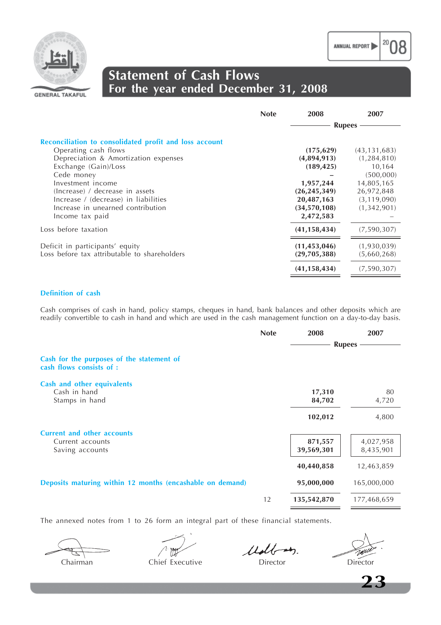



## **Statement of Cash Flows For the year ended December 31, 2008**

|                                                        | <b>Note</b> | 2008           | 2007           |
|--------------------------------------------------------|-------------|----------------|----------------|
|                                                        |             |                | <b>Rupees</b>  |
| Reconciliation to consolidated profit and loss account |             |                |                |
| Operating cash flows                                   |             | (175, 629)     | (43, 131, 683) |
| Depreciation & Amortization expenses                   |             | (4,894,913)    | (1, 284, 810)  |
| Exchange (Gain)/Loss                                   |             | (189, 425)     | 10,164         |
| Cede money                                             |             |                | (500,000)      |
| Investment income                                      |             | 1,957,244      | 14,805,165     |
| (Increase) / decrease in assets                        |             | (26, 245, 349) | 26,972,848     |
| Increase / (decrease) in liabilities                   |             | 20,487,163     | (3, 119, 090)  |
| Increase in unearned contribution                      |             | (34,570,108)   | (1,342,901)    |
| Income tax paid                                        |             | 2,472,583      |                |
| Loss before taxation                                   |             | (41, 158, 434) | (7,590,307)    |
| Deficit in participants' equity                        |             | (11, 453, 046) | (1,930,039)    |
| Loss before tax attributable to shareholders           |             | (29,705,388)   | (5,660,268)    |
|                                                        |             | (41, 158, 434) | (7,590,307)    |

#### **Definition of cash**

Cash comprises of cash in hand, policy stamps, cheques in hand, bank balances and other deposits which are readily convertible to cash in hand and which are used in the cash management function on a day-to-day basis.

| <b>Note</b><br>2008                                                     | 2007        |
|-------------------------------------------------------------------------|-------------|
| <b>Rupees</b>                                                           |             |
| Cash for the purposes of the statement of<br>cash flows consists of :   |             |
| <b>Cash and other equivalents</b>                                       |             |
| Cash in hand<br>17,310                                                  | 80          |
| Stamps in hand<br>84,702                                                | 4,720       |
| 102,012                                                                 | 4,800       |
| <b>Current and other accounts</b>                                       |             |
| 871,557<br>Current accounts                                             | 4,027,958   |
| 39,569,301<br>Saving accounts                                           | 8,435,901   |
| 40,440,858                                                              | 12,463,859  |
| Deposits maturing within 12 months (encashable on demand)<br>95,000,000 | 165,000,000 |
| 12<br>135,542,870                                                       | 177,468,659 |

The annexed notes from 1 to 26 form an integral part of these financial statements.

Chairman Chief Executive Director Director

Well

20

**23**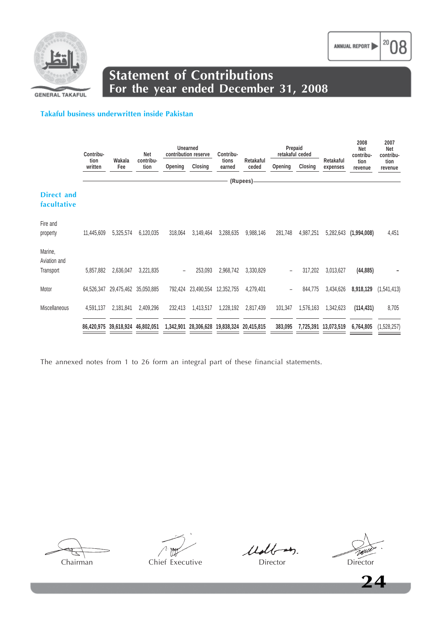

**Statement of Contributions For the year ended December 31, 2008**

#### **Takaful business underwritten inside Pakistan**

|                                      | Contribu-       |                                  |                       | Unearned<br>contribution reserve |                                            | Contribu-       | Prepaid<br>retakaful ceded |         |           | 2008<br>Net<br>contribu- | 2007<br>Net<br>contribu- |                 |
|--------------------------------------|-----------------|----------------------------------|-----------------------|----------------------------------|--------------------------------------------|-----------------|----------------------------|---------|-----------|--------------------------|--------------------------|-----------------|
|                                      | tion<br>written | Wakala<br>Fee                    | contribu-<br>tion     | Opening                          | Closing                                    | tions<br>earned | Retakaful<br>ceded         | Opening | Closing   | Retakaful<br>expenses    | tion<br>revenue          | tion<br>revenue |
|                                      |                 |                                  |                       |                                  |                                            |                 | (Rupees)                   |         |           |                          |                          |                 |
| <b>Direct and</b><br>facultative     |                 |                                  |                       |                                  |                                            |                 |                            |         |           |                          |                          |                 |
| Fire and<br>property                 | 11,445,609      | 5,325,574                        | 6,120,035             | 318,064                          | 3,149,464                                  | 3,288,635       | 9,988,146                  | 281,748 | 4,987,251 | 5,282,643                | (1,994,008)              | 4,451           |
| Marine,<br>Aviation and<br>Transport | 5,857,882       | 2,636,047                        | 3,221,835             | $\overline{\phantom{a}}$         | 253,093                                    | 2,968,742       | 3,330,829                  | -       | 317,202   | 3,013,627                | (44, 885)                |                 |
| Motor                                | 64,526,347      |                                  | 29,475,462 35,050,885 |                                  | 792,424 23,490,554                         | 12,352,755      | 4,279,401                  | ÷       | 844,775   | 3,434,626                | 8,918,129                | (1,541,413)     |
| <b>Miscellaneous</b>                 | 4,591,137       | 2,181,841                        | 2,409,296             | 232,413                          | 1,413,517                                  | 1,228,192       | 2,817,439                  | 101,347 | 1,576,163 | 1,342,623                | (114, 431)               | 8,705           |
|                                      |                 | 86,420,975 39,618,924 46,802,051 |                       |                                  | 1,342,901 28,306,628 19,838,324 20,415,815 |                 |                            | 383,095 |           | 7,725,391 13,073,519     | 6,764,805                | (1,528,257)     |

The annexed notes from 1 to 26 form an integral part of these financial statements.

Chairman Chief Executive Director Director Director

Udb

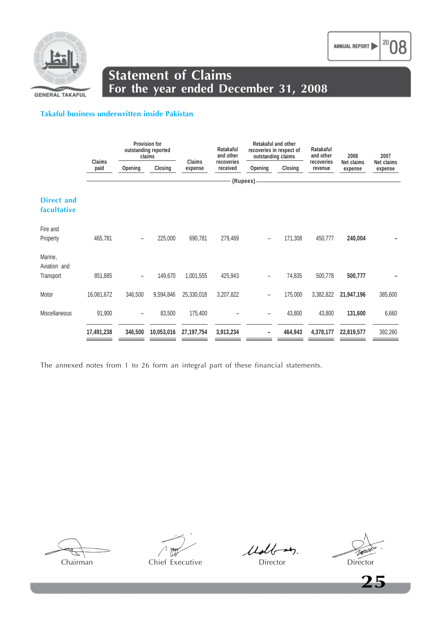

## **Statement of Claims For the year ended December 31, 2008**

#### **Takaful business underwritten inside Pakistan**

|                                  |                |                          | Provision for<br>outstanding reported<br>claims |              | Ratakaful<br>and other           | Retakaful and other<br>recoveries in respect of<br>outstanding claims |                    | Ratakaful<br>and other<br>recoveries | 2008                  | 2007                  |
|----------------------------------|----------------|--------------------------|-------------------------------------------------|--------------|----------------------------------|-----------------------------------------------------------------------|--------------------|--------------------------------------|-----------------------|-----------------------|
|                                  | Claims<br>paid | Opening                  | Closing                                         | expense      | Claims<br>recoveries<br>received |                                                                       | Closing<br>Opening |                                      | Net claims<br>expense | Net claims<br>expense |
|                                  |                |                          |                                                 |              |                                  | (Rupees)                                                              |                    |                                      |                       |                       |
| <b>Direct and</b><br>facultative |                |                          |                                                 |              |                                  |                                                                       |                    |                                      |                       |                       |
| Fire and<br>Property             | 465,781        |                          | 225,000                                         | 690,781      | 279,469                          | $\overline{\phantom{0}}$                                              | 171,308            | 450,777                              | 240,004               |                       |
| Marine,<br>Aviation and          |                |                          |                                                 |              |                                  |                                                                       |                    |                                      |                       |                       |
| Transport                        | 851,885        | $\overline{\phantom{a}}$ | 149,670                                         | 1,001,555    | 425,943                          | $\overline{\phantom{a}}$                                              | 74,835             | 500,778                              | 500,777               |                       |
| Motor                            | 16,081,672     | 346,500                  | 9,594,846                                       | 25,330,018   | 3,207,822                        | $\qquad \qquad -$                                                     | 175,000            | 3,382,822                            | 21,947,196            | 385,600               |
| Miscellaneous                    | 91,900         | $\overline{\phantom{a}}$ | 83,500                                          | 175,400      |                                  | $\qquad \qquad -$                                                     | 43,800             | 43,800                               | 131,600               | 6,660                 |
|                                  | 17,491,238     | 346,500                  | 10,053,016                                      | 27, 197, 754 | 3,913,234                        |                                                                       | 464,943            | 4,378,177                            | 22,819,577            | 392,260               |

The annexed notes from 1 to 26 form an integral part of these financial statements.

Chairman Chief Executive Director Director Director

Ult



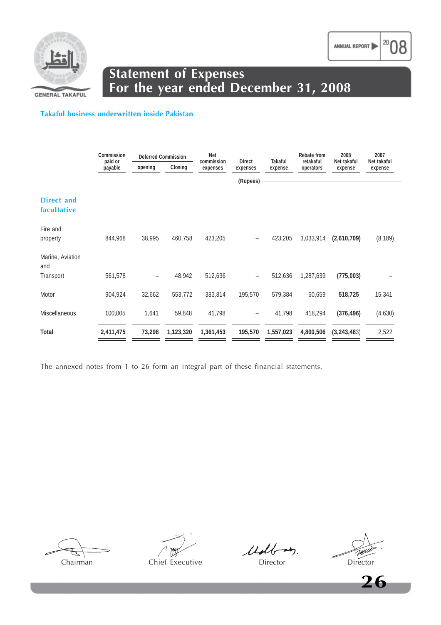

**GENERAL TAKAFUL** 

#### **Takaful business underwritten inside Pakistan**

|                                  | Commission | <b>Deferred Commission</b><br>paid or |           | Net<br>commission<br><b>Direct</b> |                          | Takaful   | Rebate from<br>retakaful | 2008<br>Net takaful | 2007<br>Net takaful |
|----------------------------------|------------|---------------------------------------|-----------|------------------------------------|--------------------------|-----------|--------------------------|---------------------|---------------------|
|                                  | payable    | opening                               | Closing   | expenses                           | expenses                 | expense   |                          | expense             | expense             |
|                                  |            |                                       |           |                                    | (Rupees)                 |           |                          |                     |                     |
| <b>Direct and</b><br>facultative |            |                                       |           |                                    |                          |           |                          |                     |                     |
| Fire and<br>property             | 844,968    | 38,995                                | 460,758   | 423,205                            |                          | 423,205   | 3,033,914                | (2,610,709)         | (8, 189)            |
| Marine, Aviation<br>and          |            |                                       |           |                                    |                          |           |                          |                     |                     |
| Transport                        | 561,578    | -                                     | 48,942    | 512,636                            | $\overline{\phantom{0}}$ | 512,636   | 1,287,639                | (775,003)           |                     |
| Motor                            | 904,924    | 32,662                                | 553,772   | 383,814                            | 195,570                  | 579,384   | 60,659                   | 518,725             | 15,341              |
| <b>Miscellaneous</b>             | 100,005    | 1,641                                 | 59,848    | 41,798                             | $\overline{\phantom{a}}$ | 41,798    | 418,294                  | (376, 496)          | (4,630)             |
| <b>Total</b>                     | 2,411,475  | 73,298                                | 1,123,320 | 1,361,453                          | 195,570                  | 1,557,023 | 4,800,506                | (3,243,483)         | 2,522               |

The annexed notes from 1 to 26 form an integral part of these financial statements.

Chairman Chief Executive Director Director Director Director

Ult

**26**



20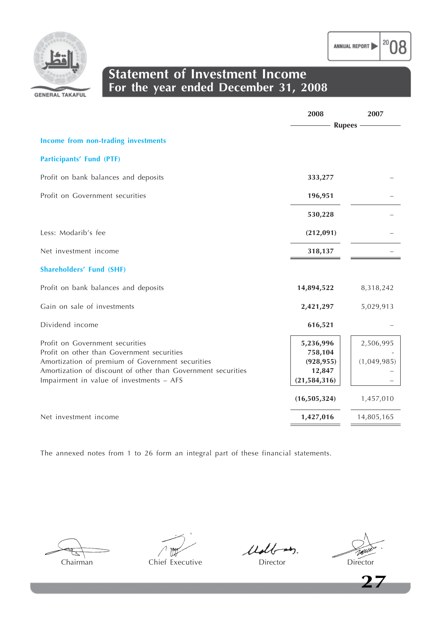



## **Statement of Investment Income For the year ended December 31, 2008**

|                                                                                                | 2008                  | 2007            |
|------------------------------------------------------------------------------------------------|-----------------------|-----------------|
|                                                                                                |                       | <b>Rupees</b> - |
| Income from non-trading investments                                                            |                       |                 |
| <b>Participants' Fund (PTF)</b>                                                                |                       |                 |
| Profit on bank balances and deposits                                                           | 333,277               |                 |
| Profit on Government securities                                                                | 196,951               |                 |
|                                                                                                | 530,228               |                 |
| Less: Modarib's fee                                                                            | (212,091)             |                 |
| Net investment income                                                                          | 318,137               |                 |
| <b>Shareholders' Fund (SHF)</b>                                                                |                       |                 |
| Profit on bank balances and deposits                                                           | 14,894,522            | 8,318,242       |
| Gain on sale of investments                                                                    | 2,421,297             | 5,029,913       |
| Dividend income                                                                                | 616,521               |                 |
| Profit on Government securities                                                                | 5,236,996             | 2,506,995       |
| Profit on other than Government securities<br>Amortization of premium of Government securities | 758,104<br>(928, 955) | (1,049,985)     |
| Amortization of discount of other than Government securities                                   | 12,847                |                 |
| Impairment in value of investments - AFS                                                       | (21, 584, 316)        |                 |
|                                                                                                | (16, 505, 324)        | 1,457,010       |
| Net investment income                                                                          | 1,427,016             | 14,805,165      |

The annexed notes from 1 to 26 form an integral part of these financial statements.

Chairman Chief Executive Director Director Director

Udbar

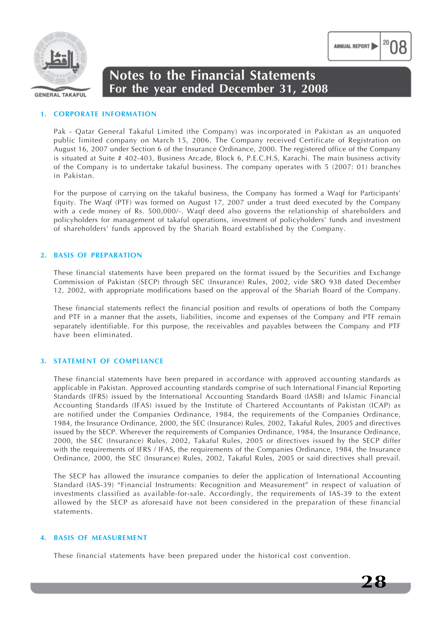

#### **1. CORPORATE INFORMATION**

Pak - Qatar General Takaful Limited (the Company) was incorporated in Pakistan as an unquoted public limited company on March 15, 2006. The Company received Certificate of Registration on August 16, 2007 under Section 6 of the Insurance Ordinance, 2000. The registered office of the Company is situated at Suite # 402-403, Business Arcade, Block 6, P.E.C.H.S, Karachi. The main business activity of the Company is to undertake takaful business. The company operates with 5 (2007: 01) branches in Pakistan.

For the purpose of carrying on the takaful business, the Company has formed a Waqf for Participants' Equity. The Waqf (PTF) was formed on August 17, 2007 under a trust deed executed by the Company with a cede money of Rs. 500,000/-. Waqf deed also governs the relationship of shareholders and policyholders for management of takaful operations, investment of policyholders' funds and investment of shareholders' funds approved by the Shariah Board established by the Company.

#### **2. BASIS OF PREPARATION**

These financial statements have been prepared on the format issued by the Securities and Exchange Commission of Pakistan (SECP) through SEC (Insurance) Rules, 2002, vide SRO 938 dated December 12, 2002, with appropriate modifications based on the approval of the Shariah Board of the Company.

These financial statements reflect the financial position and results of operations of both the Company and PTF in a manner that the assets, liabilities, income and expenses of the Company and PTF remain separately identifiable. For this purpose, the receivables and payables between the Company and PTF have been eliminated.

#### **3. STATEMENT OF COMPLIANCE**

These financial statements have been prepared in accordance with approved accounting standards as applicable in Pakistan. Approved accounting standards comprise of such International Financial Reporting Standards (IFRS) issued by the International Accounting Standards Board (IASB) and Islamic Financial Accounting Standards (IFAS) issued by the Institute of Chartered Accountants of Pakistan (ICAP) as are notified under the Companies Ordinance, 1984, the requirements of the Companies Ordinance, 1984, the Insurance Ordinance, 2000, the SEC (Insurance) Rules, 2002, Takaful Rules, 2005 and directives issued by the SECP. Wherever the requirements of Companies Ordinance, 1984, the Insurance Ordinance, 2000, the SEC (Insurance) Rules, 2002, Takaful Rules, 2005 or directives issued by the SECP differ with the requirements of IFRS / IFAS, the requirements of the Companies Ordinance, 1984, the Insurance Ordinance, 2000, the SEC (Insurance) Rules, 2002, Takaful Rules, 2005 or said directives shall prevail.

The SECP has allowed the insurance companies to defer the application of International Accounting Standard (IAS-39) "Financial Instruments: Recognition and Measurement" in respect of valuation of investments classified as available-for-sale. Accordingly, the requirements of IAS-39 to the extent allowed by the SECP as aforesaid have not been considered in the preparation of these financial statements.

#### **4. BASIS OF MEASUREMENT**

These financial statements have been prepared under the historical cost convention.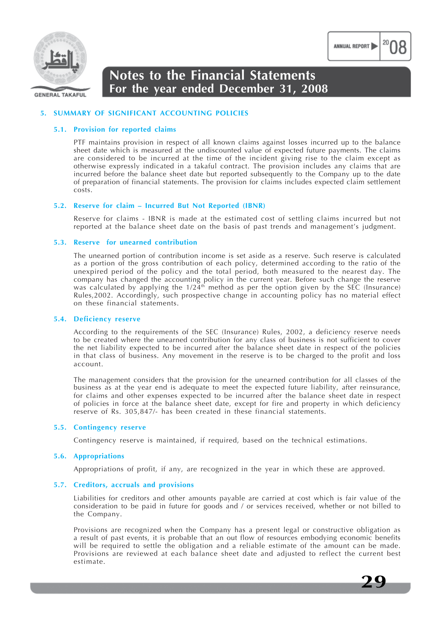

#### **GENERAL TAKAFUL**

## **Notes to the Financial Statements For the year ended December 31, 2008**

#### **5. SUMMARY OF SIGNIFICANT ACCOUNTING POLICIES**

#### **5.1. Provision for reported claims**

PTF maintains provision in respect of all known claims against losses incurred up to the balance sheet date which is measured at the undiscounted value of expected future payments. The claims are considered to be incurred at the time of the incident giving rise to the claim except as otherwise expressly indicated in a takaful contract. The provision includes any claims that are incurred before the balance sheet date but reported subsequently to the Company up to the date of preparation of financial statements. The provision for claims includes expected claim settlement costs.

#### **5.2. Reserve for claim – Incurred But Not Reported (IBNR)**

Reserve for claims - IBNR is made at the estimated cost of settling claims incurred but not reported at the balance sheet date on the basis of past trends and management's judgment.

#### **5.3. Reserve for unearned contribution**

The unearned portion of contribution income is set aside as a reserve. Such reserve is calculated as a portion of the gross contribution of each policy, determined according to the ratio of the unexpired period of the policy and the total period, both measured to the nearest day. The company has changed the accounting policy in the current year. Before such change the reserve was calculated by applying the  $1/24<sup>th</sup>$  method as per the option given by the SEC (Insurance) Rules,2002. Accordingly, such prospective change in accounting policy has no material effect on these financial statements.

#### **5.4. Deficiency reserve**

According to the requirements of the SEC (Insurance) Rules, 2002, a deficiency reserve needs to be created where the unearned contribution for any class of business is not sufficient to cover the net liability expected to be incurred after the balance sheet date in respect of the policies in that class of business. Any movement in the reserve is to be charged to the profit and loss account.

The management considers that the provision for the unearned contribution for all classes of the business as at the year end is adequate to meet the expected future liability, after reinsurance, for claims and other expenses expected to be incurred after the balance sheet date in respect of policies in force at the balance sheet date, except for fire and property in which deficiency reserve of Rs. 305,847/- has been created in these financial statements.

#### **5.5. Contingency reserve**

Contingency reserve is maintained, if required, based on the technical estimations.

#### **5.6. Appropriations**

Appropriations of profit, if any, are recognized in the year in which these are approved.

#### **5.7. Creditors, accruals and provisions**

Liabilities for creditors and other amounts payable are carried at cost which is fair value of the consideration to be paid in future for goods and / or services received, whether or not billed to the Company.

Provisions are recognized when the Company has a present legal or constructive obligation as a result of past events, it is probable that an out flow of resources embodying economic benefits will be required to settle the obligation and a reliable estimate of the amount can be made. Provisions are reviewed at each balance sheet date and adjusted to reflect the current best estimate.

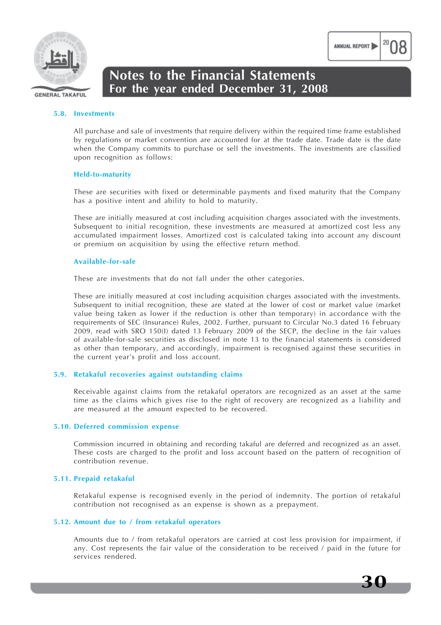

#### **5.8. Investments**

All purchase and sale of investments that require delivery within the required time frame established by regulations or market convention are accounted for at the trade date. Trade date is the date when the Company commits to purchase or sell the investments. The investments are classified upon recognition as follows:

#### **Held-to-maturity**

These are securities with fixed or determinable payments and fixed maturity that the Company has a positive intent and ability to hold to maturity.

These are initially measured at cost including acquisition charges associated with the investments. Subsequent to initial recognition, these investments are measured at amortized cost less any accumulated impairment losses. Amortized cost is calculated taking into account any discount or premium on acquisition by using the effective return method.

#### **Available-for-sale**

These are investments that do not fall under the other categories.

These are initially measured at cost including acquisition charges associated with the investments. Subsequent to initial recognition, these are stated at the lower of cost or market value (market value being taken as lower if the reduction is other than temporary) in accordance with the requirements of SEC (Insurance) Rules, 2002. Further, pursuant to Circular No.3 dated 16 February 2009, read with SRO 150(I) dated 13 February 2009 of the SECP, the decline in the fair values of available-for-sale securities as disclosed in note 13 to the financial statements is considered as other than temporary, and accordingly, impairment is recognised against these securities in the current year's profit and loss account.

#### **5.9. Retakaful recoveries against outstanding claims**

Receivable against claims from the retakaful operators are recognized as an asset at the same time as the claims which gives rise to the right of recovery are recognized as a liability and are measured at the amount expected to be recovered.

#### **5.10. Deferred commission expense**

Commission incurred in obtaining and recording takaful are deferred and recognized as an asset. These costs are charged to the profit and loss account based on the pattern of recognition of contribution revenue.

#### **5.11. Prepaid retakaful**

Retakaful expense is recognised evenly in the period of indemnity. The portion of retakaful contribution not recognised as an expense is shown as a prepayment.

#### **5.12. Amount due to / from retakaful operators**

Amounts due to / from retakaful operators are carried at cost less provision for impairment, if any. Cost represents the fair value of the consideration to be received / paid in the future for services rendered.

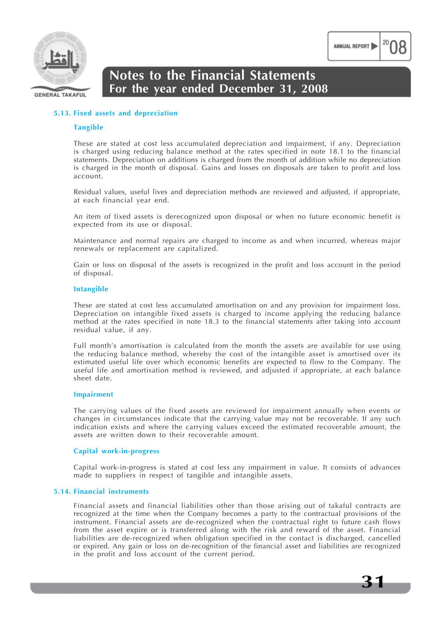

## **Notes to the Financial Statements For the year ended December 31, 2008**

#### **5.13. Fixed assets and depreciation**

#### **Tangible**

These are stated at cost less accumulated depreciation and impairment, if any. Depreciation is charged using reducing balance method at the rates specified in note 18.1 to the financial statements. Depreciation on additions is charged from the month of addition while no depreciation is charged in the month of disposal. Gains and losses on disposals are taken to profit and loss account.

Residual values, useful lives and depreciation methods are reviewed and adjusted, if appropriate, at each financial year end.

An item of fixed assets is derecognized upon disposal or when no future economic benefit is expected from its use or disposal.

Maintenance and normal repairs are charged to income as and when incurred, whereas major renewals or replacement are capitalized.

Gain or loss on disposal of the assets is recognized in the profit and loss account in the period of disposal.

#### **Intangible**

These are stated at cost less accumulated amortisation on and any provision for impairment loss. Depreciation on intangible fixed assets is charged to income applying the reducing balance method at the rates specified in note 18.3 to the financial statements after taking into account residual value, if any.

Full month's amortisation is calculated from the month the assets are available for use using the reducing balance method, whereby the cost of the intangible asset is amortised over its estimated useful life over which economic benefits are expected to flow to the Company. The useful life and amortisation method is reviewed, and adjusted if appropriate, at each balance sheet date.

#### **Impairment**

The carrying values of the fixed assets are reviewed for impairment annually when events or changes in circumstances indicate that the carrying value may not be recoverable. If any such indication exists and where the carrying values exceed the estimated recoverable amount, the assets are written down to their recoverable amount.

#### **Capital work-in-progress**

Capital work-in-progress is stated at cost less any impairment in value. It consists of advances made to suppliers in respect of tangible and intangible assets.

#### **5.14. Financial instruments**

Financial assets and financial liabilities other than those arising out of takaful contracts are recognized at the time when the Company becomes a party to the contractual provisions of the instrument. Financial assets are de-recognized when the contractual right to future cash flows from the asset expire or is transferred along with the risk and reward of the asset. Financial liabilities are de-recognized when obligation specified in the contact is discharged, cancelled or expired. Any gain or loss on de-recognition of the financial asset and liabilities are recognized in the profit and loss account of the current period.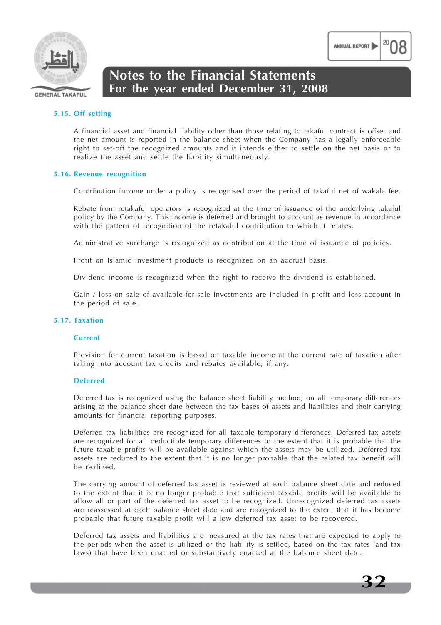

### **5.15. Off setting**

A financial asset and financial liability other than those relating to takaful contract is offset and the net amount is reported in the balance sheet when the Company has a legally enforceable right to set-off the recognized amounts and it intends either to settle on the net basis or to realize the asset and settle the liability simultaneously.

#### **5.16. Revenue recognition**

Contribution income under a policy is recognised over the period of takaful net of wakala fee.

Rebate from retakaful operators is recognized at the time of issuance of the underlying takaful policy by the Company. This income is deferred and brought to account as revenue in accordance with the pattern of recognition of the retakaful contribution to which it relates.

Administrative surcharge is recognized as contribution at the time of issuance of policies.

Profit on Islamic investment products is recognized on an accrual basis.

Dividend income is recognized when the right to receive the dividend is established.

Gain / loss on sale of available-for-sale investments are included in profit and loss account in the period of sale.

#### **5.17. Taxation**

#### **Current**

Provision for current taxation is based on taxable income at the current rate of taxation after taking into account tax credits and rebates available, if any.

#### **Deferred**

Deferred tax is recognized using the balance sheet liability method, on all temporary differences arising at the balance sheet date between the tax bases of assets and liabilities and their carrying amounts for financial reporting purposes.

Deferred tax liabilities are recognized for all taxable temporary differences. Deferred tax assets are recognized for all deductible temporary differences to the extent that it is probable that the future taxable profits will be available against which the assets may be utilized. Deferred tax assets are reduced to the extent that it is no longer probable that the related tax benefit will be realized.

The carrying amount of deferred tax asset is reviewed at each balance sheet date and reduced to the extent that it is no longer probable that sufficient taxable profits will be available to allow all or part of the deferred tax asset to be recognized. Unrecognized deferred tax assets are reassessed at each balance sheet date and are recognized to the extent that it has become probable that future taxable profit will allow deferred tax asset to be recovered.

Deferred tax assets and liabilities are measured at the tax rates that are expected to apply to the periods when the asset is utilized or the liability is settled, based on the tax rates (and tax laws) that have been enacted or substantively enacted at the balance sheet date.

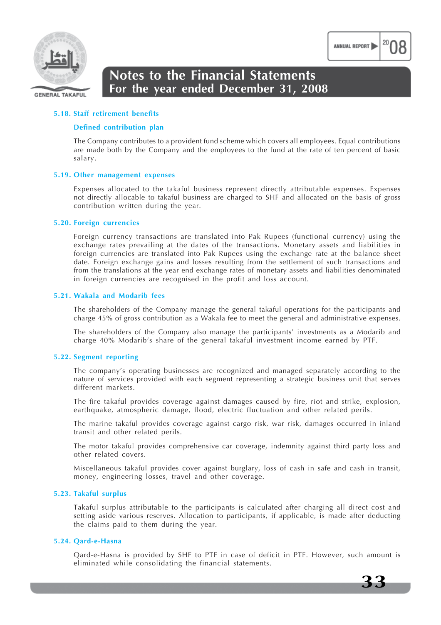

#### **5.18. Staff retirement benefits**

#### **Defined contribution plan**

The Company contributes to a provident fund scheme which covers all employees. Equal contributions are made both by the Company and the employees to the fund at the rate of ten percent of basic salary.

#### **5.19. Other management expenses**

Expenses allocated to the takaful business represent directly attributable expenses. Expenses not directly allocable to takaful business are charged to SHF and allocated on the basis of gross contribution written during the year.

#### **5.20. Foreign currencies**

Foreign currency transactions are translated into Pak Rupees (functional currency) using the exchange rates prevailing at the dates of the transactions. Monetary assets and liabilities in foreign currencies are translated into Pak Rupees using the exchange rate at the balance sheet date. Foreign exchange gains and losses resulting from the settlement of such transactions and from the translations at the year end exchange rates of monetary assets and liabilities denominated in foreign currencies are recognised in the profit and loss account.

#### **5.21. Wakala and Modarib fees**

The shareholders of the Company manage the general takaful operations for the participants and charge 45% of gross contribution as a Wakala fee to meet the general and administrative expenses.

The shareholders of the Company also manage the participants' investments as a Modarib and charge 40% Modarib's share of the general takaful investment income earned by PTF.

#### **5.22. Segment reporting**

The company's operating businesses are recognized and managed separately according to the nature of services provided with each segment representing a strategic business unit that serves different markets.

The fire takaful provides coverage against damages caused by fire, riot and strike, explosion, earthquake, atmospheric damage, flood, electric fluctuation and other related perils.

The marine takaful provides coverage against cargo risk, war risk, damages occurred in inland transit and other related perils.

The motor takaful provides comprehensive car coverage, indemnity against third party loss and other related covers.

Miscellaneous takaful provides cover against burglary, loss of cash in safe and cash in transit, money, engineering losses, travel and other coverage.

#### **5.23. Takaful surplus**

Takaful surplus attributable to the participants is calculated after charging all direct cost and setting aside various reserves. Allocation to participants, if applicable, is made after deducting the claims paid to them during the year.

#### **5.24. Qard-e-Hasna**

Qard-e-Hasna is provided by SHF to PTF in case of deficit in PTF. However, such amount is eliminated while consolidating the financial statements.

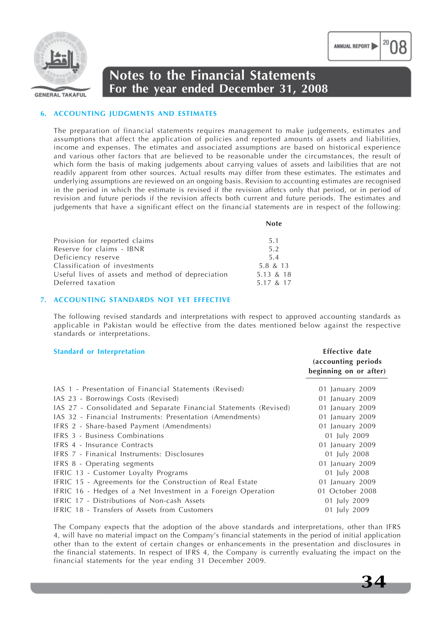

#### **6. ACCOUNTING JUDGMENTS AND ESTIMATES**

The preparation of financial statements requires management to make judgements, estimates and assumptions that affect the application of policies and reported amounts of assets and liabilities, income and expenses. The etimates and associated assumptions are based on historical experience and various other factors that are believed to be reasonable under the circumstances, the result of which form the basis of making judgements about carrying values of assets and laibilities that are not readily apparent from other sources. Actual results may differ from these estimates. The estimates and underlying assumptions are reviewed on an ongoing basis. Revision to accounting estimates are recognised in the period in which the estimate is revised if the revision affetcs only that period, or in period of revision and future periods if the revision affects both current and future periods. The estimates and judgements that have a significant effect on the financial statements are in respect of the following:

| I<br>M.<br>×<br>۰.<br>۰,<br>v<br>× |
|------------------------------------|
|------------------------------------|

| Provision for reported claims                     | 5.1       |
|---------------------------------------------------|-----------|
| Reserve for claims - IBNR                         | 5.2       |
| Deficiency reserve                                | 5.4       |
| Classification of investments                     | 5.8 & 13  |
| Useful lives of assets and method of depreciation | 5.13 & 18 |
| Deferred taxation                                 | 5.17 & 17 |
|                                                   |           |

#### **7. ACCOUNTING STANDARDS NOT YET EFFECTIVE**

The following revised standards and interpretations with respect to approved accounting standards as applicable in Pakistan would be effective from the dates mentioned below against the respective standards or interpretations.

#### **Standard or Interpretation Effective date**

|                                                                   | (accounting periods<br>beginning on or after) |
|-------------------------------------------------------------------|-----------------------------------------------|
| IAS 1 - Presentation of Financial Statements (Revised)            | 01 January 2009                               |
| IAS 23 - Borrowings Costs (Revised)                               | 01 January 2009                               |
| IAS 27 - Consolidated and Separate Financial Statements (Revised) | 01 January 2009                               |
| IAS 32 - Financial Instruments: Presentation (Amendments)         | 01 January 2009                               |
| IFRS 2 - Share-based Payment (Amendments)                         | 01 January 2009                               |
| <b>IFRS 3 - Business Combinations</b>                             | 01 July 2009                                  |
| IFRS 4 - Insurance Contracts                                      | 01 January 2009                               |
| IFRS 7 - Finanical Instruments: Disclosures                       | 01 July 2008                                  |
| IFRS 8 - Operating segments                                       | 01 January 2009                               |
| IFRIC 13 - Customer Loyalty Programs                              | 01 July 2008                                  |
| IFRIC 15 - Agreements for the Construction of Real Estate         | 01 January 2009                               |
| IFRIC 16 - Hedges of a Net Investment in a Foreign Operation      | 01 October 2008                               |
| IFRIC 17 - Distributions of Non-cash Assets                       | 01 July 2009                                  |
| IFRIC 18 - Transfers of Assets from Customers                     | 01 July 2009                                  |

The Company expects that the adoption of the above standards and interpretations, other than IFRS 4, will have no material impact on the Company's financial statements in the period of initial application other than to the extent of certain changes or enhancements in the presentation and disclosures in the financial statements. In respect of IFRS 4, the Company is currently evaluating the impact on the financial statements for the year ending 31 December 2009.

ANNUAL REPORT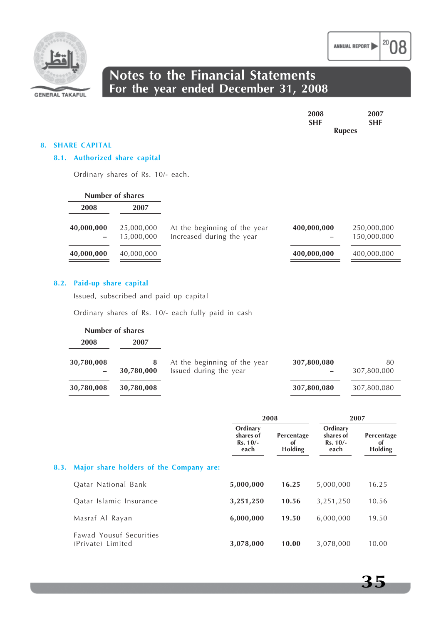

| 2008       | 2007        |
|------------|-------------|
| <b>SHF</b> | <b>SHF</b>  |
|            | $Runees$ —— |

#### **8. SHARE CAPITAL**

#### **8.1. Authorized share capital**

Ordinary shares of Rs. 10/- each.

|            | Number of shares         |                                                           |             |                            |
|------------|--------------------------|-----------------------------------------------------------|-------------|----------------------------|
| 2008       | 2007                     |                                                           |             |                            |
| 40,000,000 | 25,000,000<br>15,000,000 | At the beginning of the year<br>Increased during the year | 400,000,000 | 250,000,000<br>150,000,000 |
| 40,000,000 | 40,000,000               |                                                           | 400,000,000 | 400,000,000                |

#### **8.2. Paid-up share capital**

Issued, subscribed and paid up capital

Ordinary shares of Rs. 10/- each fully paid in cash

| Number of shares                |                 |                                                        |             |                   |
|---------------------------------|-----------------|--------------------------------------------------------|-------------|-------------------|
| 2008                            | 2007            |                                                        |             |                   |
| 30,780,008<br>$\qquad \qquad -$ | 8<br>30,780,000 | At the beginning of the year<br>Issued during the year | 307,800,080 | 80<br>307,800,000 |
| 30,780,008                      | 30,780,008      |                                                        | 307,800,080 | 307,800,080       |

|                                              | 2008                                        |                                    | 2007                                        |                                    |
|----------------------------------------------|---------------------------------------------|------------------------------------|---------------------------------------------|------------------------------------|
|                                              | Ordinary<br>shares of<br>$Rs. 10/-$<br>each | Percentage<br>0t<br><b>Holding</b> | Ordinary<br>shares of<br>$Rs. 10/-$<br>each | Percentage<br>of<br><b>Holding</b> |
| 8.3. Major share holders of the Company are: |                                             |                                    |                                             |                                    |
| Oatar National Bank                          | 5,000,000                                   | 16.25                              | 5,000,000                                   | 16.25                              |
| Qatar Islamic Insurance                      | 3,251,250                                   | 10.56                              | 3,251,250                                   | 10.56                              |
| Masraf Al Rayan                              | 6,000,000                                   | 19.50                              | 6,000,000                                   | 19.50                              |
| Fawad Yousuf Securities<br>(Private) Limited | 3,078,000                                   | 10.00                              | 3,078,000                                   | 10.00                              |

ANNUAL REPORT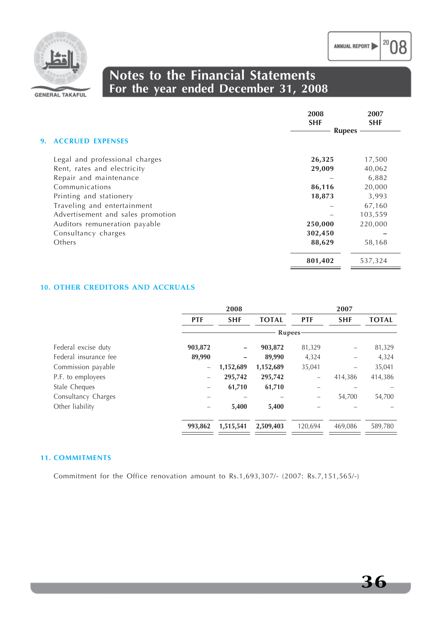

## **Notes to the Financial Statements For the year ended December 31, 2008**

|                                   | 2008<br><b>SHF</b> | 2007<br><b>SHF</b> |
|-----------------------------------|--------------------|--------------------|
| <b>9. ACCRUED EXPENSES</b>        | <b>Rupees</b>      |                    |
| Legal and professional charges    | 26,325             | 17,500             |
| Rent, rates and electricity       | 29,009             | 40,062             |
| Repair and maintenance            |                    | 6,882              |
| Communications                    | 86,116             | 20,000             |
| Printing and stationery           | 18,873             | 3,993              |
| Traveling and entertainment       |                    | 67,160             |
| Advertisement and sales promotion |                    | 103,559            |
| Auditors remuneration payable     | 250,000            | 220,000            |
| Consultancy charges               | 302,450            |                    |
| Others                            | 88,629             | 58,168             |
|                                   | 801,402            | 537,324            |

#### **10. OTHER CREDITORS AND ACCRUALS**

|            | 2008       |              |                   | 2007       |              |
|------------|------------|--------------|-------------------|------------|--------------|
| <b>PTF</b> | <b>SHF</b> | <b>TOTAL</b> | <b>PTF</b>        | <b>SHF</b> | <b>TOTAL</b> |
|            |            |              |                   |            |              |
| 903,872    |            | 903,872      | 81,329            |            | 81,329       |
| 89,990     |            | 89,990       | 4,324             |            | 4,324        |
|            | 1,152,689  | 1,152,689    | 35,041            |            | 35,041       |
|            | 295,742    | 295,742      | $\qquad \qquad -$ | 414,386    | 414,386      |
|            | 61,710     | 61,710       |                   |            |              |
|            |            |              | -                 | 54,700     | 54,700       |
|            | 5,400      | 5,400        |                   |            |              |
| 993,862    | 1,515,541  | 2,509,403    | 120,694           | 469,086    | 589,780      |
|            |            |              |                   | Rupees-    |              |

#### **11. COMMITMENTS**

Commitment for the Office renovation amount to Rs.1,693,307/- (2007: Rs.7,151,565/-)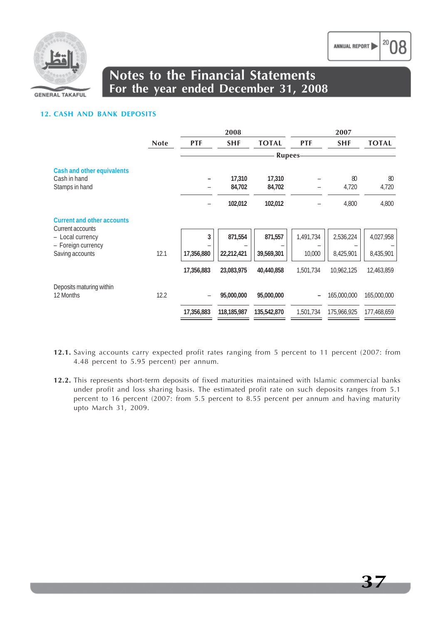

## **Notes to the Financial Statements For the year ended December 31, 2008**

#### **12. CASH AND BANK DEPOSITS**

|                                                       |             | 2008       |             | 2007          |            |             |              |
|-------------------------------------------------------|-------------|------------|-------------|---------------|------------|-------------|--------------|
|                                                       | <b>Note</b> | <b>PTF</b> | <b>SHF</b>  | <b>TOTAL</b>  | <b>PTF</b> | <b>SHF</b>  | <b>TOTAL</b> |
|                                                       |             |            |             | <b>Rupees</b> |            |             |              |
| Cash and other equivalents<br>Cash in hand            |             |            | 17,310      | 17,310        |            | 80          | 80           |
| Stamps in hand                                        |             |            | 84,702      | 84,702        |            | 4,720       | 4,720        |
|                                                       |             |            | 102,012     | 102,012       |            | 4,800       | 4,800        |
| <b>Current and other accounts</b><br>Current accounts |             |            |             |               |            |             |              |
| - Local currency                                      |             | 3          | 871,554     | 871,557       | 1,491,734  | 2,536,224   | 4,027,958    |
| - Foreign currency<br>Saving accounts                 | 12.1        | 17,356,880 | 22,212,421  | 39,569,301    | 10,000     | 8,425,901   | 8,435,901    |
|                                                       |             | 17,356,883 | 23,083,975  | 40,440,858    | 1,501,734  | 10,962,125  | 12,463,859   |
| Deposits maturing within                              |             |            |             |               |            |             |              |
| 12 Months                                             | 12.2        | -          | 95,000,000  | 95,000,000    |            | 165,000,000 | 165,000,000  |
|                                                       |             | 17,356,883 | 118,185,987 | 135,542,870   | 1,501,734  | 175,966,925 | 177,468,659  |

- **12.1.** Saving accounts carry expected profit rates ranging from 5 percent to 11 percent (2007: from 4.48 percent to 5.95 percent) per annum.
- **12.2.** This represents short-term deposits of fixed maturities maintained with Islamic commercial banks under profit and loss sharing basis. The estimated profit rate on such deposits ranges from 5.1 percent to 16 percent (2007: from 5.5 percent to 8.55 percent per annum and having maturity upto March 31, 2009.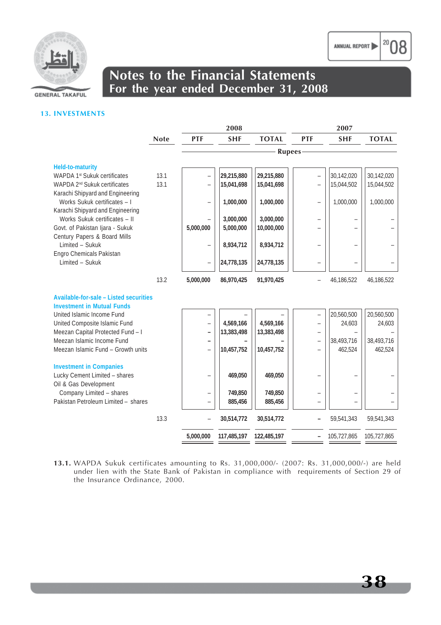



## **Notes to the Financial Statements For the year ended December 31, 2008**

#### **13. INVESTMENTS**

|                                                                   |             |                                                      | 2008               |                    | 2007                     |                       |                       |
|-------------------------------------------------------------------|-------------|------------------------------------------------------|--------------------|--------------------|--------------------------|-----------------------|-----------------------|
|                                                                   | <b>Note</b> | <b>PTF</b>                                           | <b>SHF</b>         | <b>TOTAL</b>       | <b>PTF</b>               | <b>SHF</b>            | <b>TOTAL</b>          |
|                                                                   |             |                                                      |                    | <b>Rupees</b>      |                          |                       |                       |
|                                                                   |             |                                                      |                    |                    |                          |                       |                       |
| <b>Held-to-maturity</b><br>WAPDA 1st Sukuk certificates           | 13.1        | $\overline{\phantom{0}}$                             | 29,215,880         | 29,215,880         |                          | 30,142,020            | 30,142,020            |
| WAPDA 2 <sup>nd</sup> Sukuk certificates                          | 13.1        |                                                      | 15,041,698         | 15,041,698         |                          | 15,044,502            | 15,044,502            |
| Karachi Shipyard and Engineering                                  |             |                                                      |                    |                    |                          |                       |                       |
| Works Sukuk certificates - I                                      |             | ÷                                                    | 1,000,000          | 1,000,000          | $\overline{\phantom{0}}$ | 1,000,000             | 1,000,000             |
| Karachi Shipyard and Engineering<br>Works Sukuk certificates - II |             |                                                      | 3,000,000          | 3,000,000          |                          |                       |                       |
| Govt. of Pakistan Ijara - Sukuk                                   |             | 5,000,000                                            | 5,000,000          | 10,000,000         |                          |                       |                       |
| Century Papers & Board Mills                                      |             |                                                      |                    |                    |                          |                       |                       |
| Limited - Sukuk                                                   |             |                                                      | 8,934,712          | 8,934,712          | ۳                        |                       |                       |
| Engro Chemicals Pakistan                                          |             |                                                      |                    |                    |                          |                       |                       |
| Limited - Sukuk                                                   |             |                                                      | 24,778,135         | 24,778,135         | $\qquad \qquad -$        |                       |                       |
|                                                                   | 13.2        | 5,000,000                                            | 86,970,425         | 91,970,425         |                          | 46,186,522            | 46,186,522            |
| Available-for-sale - Listed securities                            |             |                                                      |                    |                    |                          |                       |                       |
| <b>Investment in Mutual Funds</b>                                 |             |                                                      |                    |                    |                          |                       |                       |
| United Islamic Income Fund                                        |             |                                                      |                    |                    | $\overline{\phantom{0}}$ | 20,560,500            | 20,560,500            |
| United Composite Islamic Fund                                     |             | $\overline{\phantom{0}}$                             | 4,569,166          | 4,569,166          | ۰                        | 24,603                | 24,603                |
| Meezan Capital Protected Fund - I<br>Meezan Islamic Income Fund   |             | $\overline{\phantom{0}}$                             | 13,383,498         | 13,383,498         |                          |                       |                       |
| Meezan Islamic Fund - Growth units                                |             | $\overline{\phantom{0}}$<br>$\overline{\phantom{0}}$ | 10,457,752         | 10,457,752         | $\qquad \qquad -$        | 38,493,716<br>462,524 | 38,493,716<br>462,524 |
|                                                                   |             |                                                      |                    |                    |                          |                       |                       |
| <b>Investment in Companies</b>                                    |             |                                                      |                    |                    |                          |                       |                       |
| Lucky Cement Limited - shares                                     |             | $\overline{\phantom{0}}$                             | 469,050            | 469,050            | ۳                        |                       |                       |
| Oil & Gas Development                                             |             |                                                      |                    |                    |                          |                       |                       |
| Company Limited - shares<br>Pakistan Petroleum Limited - shares   |             | $\qquad \qquad -$<br>$\qquad \qquad -$               | 749,850<br>885,456 | 749,850<br>885,456 | ÷                        |                       |                       |
|                                                                   |             |                                                      |                    |                    |                          |                       |                       |
|                                                                   | 13.3        |                                                      | 30,514,772         | 30,514,772         |                          | 59,541,343            | 59,541,343            |
|                                                                   |             | 5,000,000                                            | 117,485,197        | 122,485,197        |                          | 105,727,865           | 105,727,865           |

**13.1.** WAPDA Sukuk certificates amounting to Rs. 31,000,000/- (2007: Rs. 31,000,000/-) are held under lien with the State Bank of Pakistan in compliance with requirements of Section 29 of the Insurance Ordinance, 2000.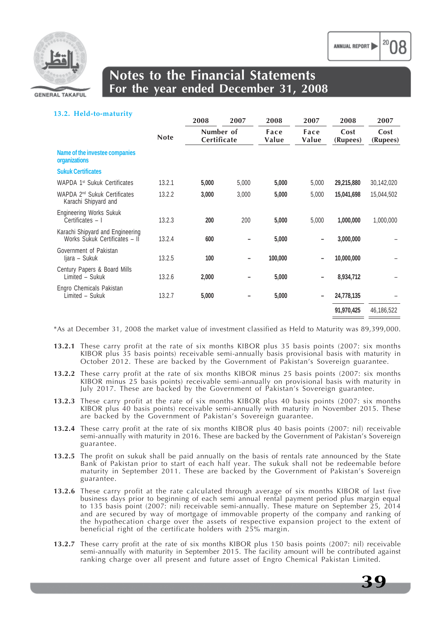

#### **13.2. Held-to-maturity**

|                                                                   |             | 2008                     | 2007  | 2008                           | 2007                     | 2008             | 2007             |
|-------------------------------------------------------------------|-------------|--------------------------|-------|--------------------------------|--------------------------|------------------|------------------|
|                                                                   | <b>Note</b> | Number of<br>Certificate |       | Face<br>Face<br>Value<br>Value |                          | Cost<br>(Rupees) | Cost<br>(Rupees) |
| Name of the investee companies<br>organizations                   |             |                          |       |                                |                          |                  |                  |
| <b>Sukuk Certificates</b>                                         |             |                          |       |                                |                          |                  |                  |
| WAPDA 1 <sup>st</sup> Sukuk Certificates                          | 13.2.1      | 5,000                    | 5,000 | 5,000                          | 5,000                    | 29,215,880       | 30,142,020       |
| WAPDA 2 <sup>nd</sup> Sukuk Certificates<br>Karachi Shipyard and  | 13.2.2      | 3,000                    | 3,000 | 5,000                          | 5,000                    | 15,041,698       | 15,044,502       |
| <b>Engineering Works Sukuk</b><br>Certificates - I                | 13.2.3      | 200                      | 200   | 5,000                          | 5,000                    | 1,000,000        | 1,000,000        |
| Karachi Shipyard and Engineering<br>Works Sukuk Certificates - II | 13.2.4      | 600                      |       | 5,000                          |                          | 3,000,000        |                  |
| Government of Pakistan<br>Ijara – Sukuk                           | 13.2.5      | 100                      |       | 100,000                        | $\qquad \qquad -$        | 10,000,000       |                  |
| Century Papers & Board Mills<br>Limited - Sukuk                   | 13.2.6      | 2,000                    |       | 5,000                          |                          | 8,934,712        |                  |
| Engro Chemicals Pakistan<br>Limited - Sukuk                       | 13.2.7      | 5,000                    |       | 5,000                          | $\overline{\phantom{a}}$ | 24,778,135       |                  |
|                                                                   |             |                          |       |                                |                          | 91,970,425       | 46,186,522       |

\*As at December 31, 2008 the market value of investment classified as Held to Maturity was 89,399,000.

- **13.2.1** These carry profit at the rate of six months KIBOR plus 35 basis points (2007: six months KIBOR plus 35 basis points) receivable semi-annually basis provisional basis with maturity in October 2012. These are backed by the Government of Pakistan's Sovereign guarantee.
- **13.2.2** These carry profit at the rate of six months KIBOR minus 25 basis points (2007: six months KIBOR minus 25 basis points) receivable semi-annually on provisional basis with maturity in July 2017. These are backed by the Government of Pakistan's Sovereign guarantee.
- **13.2.3** These carry profit at the rate of six months KIBOR plus 40 basis points (2007: six months KIBOR plus 40 basis points) receivable semi-annually with maturity in November 2015. These are backed by the Government of Pakistan's Sovereign guarantee.
- **13.2.4** These carry profit at the rate of six months KIBOR plus 40 basis points (2007: nil) receivable semi-annually with maturity in 2016. These are backed by the Government of Pakistan's Sovereign guarantee.
- **13.2.5** The profit on sukuk shall be paid annually on the basis of rentals rate announced by the State Bank of Pakistan prior to start of each half year. The sukuk shall not be redeemable before maturity in September 2011. These are backed by the Government of Pakistan's Sovereign guarantee.
- **13.2.6** These carry profit at the rate calculated through average of six months KIBOR of last five business days prior to beginning of each semi annual rental payment period plus margin equal to 135 basis point (2007: nil) receivable semi-annually. These mature on September 25, 2014 and are secured by way of mortgage of immovable property of the company and ranking of the hypothecation charge over the assets of respective expansion project to the extent of beneficial right of the certificate holders with 25% margin.
- **13.2.7** These carry profit at the rate of six months KIBOR plus 150 basis points (2007: nil) receivable semi-annually with maturity in September 2015. The facility amount will be contributed against ranking charge over all present and future asset of Engro Chemical Pakistan Limited.

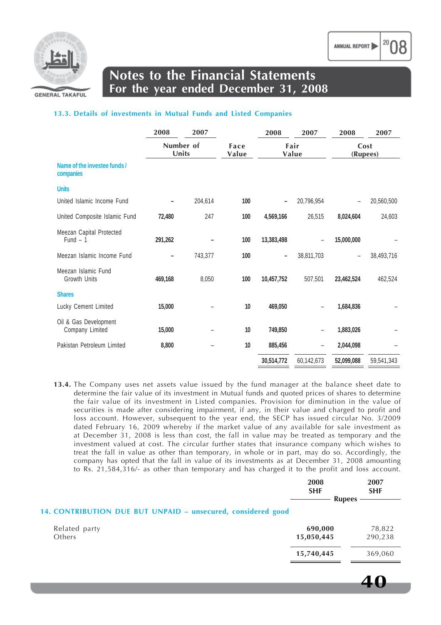

**GENERAL TAKAFUL** 

## **Notes to the Financial Statements For the year ended December 31, 2008**

#### **13.3. Details of investments in Mutual Funds and Listed Companies**

|                                           | 2008               | 2007    |               | 2008                     | 2007                     | 2008       | 2007             |  |
|-------------------------------------------|--------------------|---------|---------------|--------------------------|--------------------------|------------|------------------|--|
|                                           | Number of<br>Units |         | Face<br>Value |                          | Fair<br>Value            |            | Cost<br>(Rupees) |  |
| Name of the investee funds /<br>companies |                    |         |               |                          |                          |            |                  |  |
| <b>Units</b>                              |                    |         |               |                          |                          |            |                  |  |
| United Islamic Income Fund                |                    | 204,614 | 100           |                          | 20,796,954               |            | 20,560,500       |  |
| United Composite Islamic Fund             | 72,480             | 247     | 100           | 4,569,166                | 26,515                   | 8,024,604  | 24,603           |  |
| Meezan Capital Protected<br>$Fund - 1$    | 291,262            |         | 100           | 13,383,498               | $\qquad \qquad -$        | 15,000,000 |                  |  |
| Meezan Islamic Income Fund                | -                  | 743,377 | 100           | $\overline{\phantom{0}}$ | 38,811,703               |            | 38,493,716       |  |
| Meezan Islamic Fund<br>Growth Units       | 469,168            | 8,050   | 100           | 10,457,752               | 507,501                  | 23,462,524 | 462,524          |  |
| <b>Shares</b>                             |                    |         |               |                          |                          |            |                  |  |
| Lucky Cement Limited                      | 15,000             |         | 10            | 469,050                  |                          | 1,684,836  |                  |  |
| Oil & Gas Development<br>Company Limited  | 15,000             |         | 10            | 749,850                  | $\overline{\phantom{m}}$ | 1,883,026  |                  |  |
| Pakistan Petroleum Limited                | 8,800              |         | 10            | 885,456                  | $\overline{\phantom{m}}$ | 2,044,098  |                  |  |
|                                           |                    |         |               | 30,514,772               | 60,142,673               | 52,099,088 | 59,541,343       |  |

**13.4.** The Company uses net assets value issued by the fund manager at the balance sheet date to determine the fair value of its investment in Mutual funds and quoted prices of shares to determine the fair value of its investment in Listed companies. Provision for diminution in the value of securities is made after considering impairment, if any, in their value and charged to profit and loss account. However, subsequent to the year end, the SECP has issued circular No. 3/2009 dated February 16, 2009 whereby if the market value of any available for sale investment as at December 31, 2008 is less than cost, the fall in value may be treated as temporary and the investment valued at cost. The circular further states that insurance company which wishes to treat the fall in value as other than temporary, in whole or in part, may do so. Accordingly, the company has opted that the fall in value of its investments as at December 31, 2008 amounting to Rs. 21,584,316/- as other than temporary and has charged it to the profit and loss account.

|                                                              | 2008<br><b>SHF</b><br><b>Rupees</b> | 2007<br><b>SHF</b> |
|--------------------------------------------------------------|-------------------------------------|--------------------|
| 14. CONTRIBUTION DUE BUT UNPAID - unsecured, considered good |                                     |                    |
| Related party<br>Others                                      | 690,000<br>15,050,445               | 78,822<br>290,238  |
|                                                              | 15,740,445                          | 369,060            |

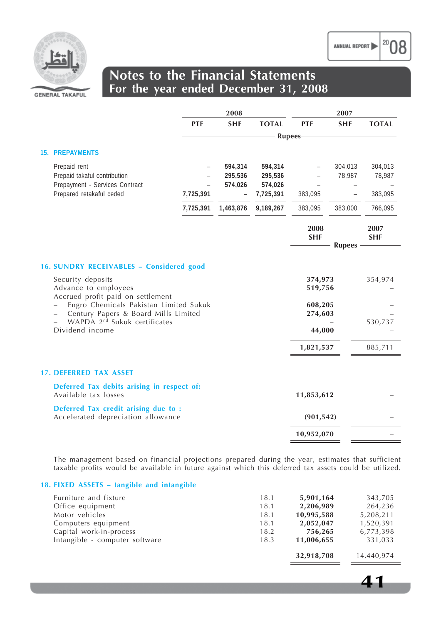

|                                                                                                                            |            | 2008                          |                                            |                    | 2007              |                              |
|----------------------------------------------------------------------------------------------------------------------------|------------|-------------------------------|--------------------------------------------|--------------------|-------------------|------------------------------|
|                                                                                                                            | <b>PTF</b> | <b>SHF</b>                    | <b>TOTAL</b>                               | <b>PTF</b>         | <b>SHF</b>        | <b>TOTAL</b>                 |
|                                                                                                                            |            |                               | <b>Rupees</b>                              |                    |                   |                              |
| 15. PREPAYMENTS                                                                                                            |            |                               |                                            |                    |                   |                              |
| Prepaid rent<br>Prepaid takaful contribution<br>Prepayment - Services Contract<br>Prepared retakaful ceded                 | 7,725,391  | 594,314<br>295,536<br>574,026 | 594,314<br>295,536<br>574,026<br>7,725,391 | 383,095            | 304,013<br>78,987 | 304,013<br>78,987<br>383,095 |
|                                                                                                                            | 7,725,391  | 1,463,876                     | 9,189,267                                  | 383,095            | 383,000           | 766,095                      |
|                                                                                                                            |            |                               |                                            | 2008<br><b>SHF</b> | <b>Rupees</b>     | 2007<br><b>SHF</b>           |
| <b>16. SUNDRY RECEIVABLES - Considered good</b>                                                                            |            |                               |                                            |                    |                   |                              |
| Security deposits<br>Advance to employees<br>Accrued profit paid on settlement                                             |            |                               |                                            | 374,973<br>519,756 |                   | 354,974                      |
| Engro Chemicals Pakistan Limited Sukuk<br>Century Papers & Board Mills Limited<br>WAPDA 2 <sup>nd</sup> Sukuk certificates |            |                               |                                            | 608,205<br>274,603 |                   | 530,737                      |
| Dividend income                                                                                                            |            |                               |                                            | 44,000             |                   |                              |
|                                                                                                                            |            |                               |                                            | 1,821,537          |                   | 885,711                      |
| <b>17. DEFERRED TAX ASSET</b>                                                                                              |            |                               |                                            |                    |                   |                              |
| Deferred Tax debits arising in respect of:<br>Available tax losses                                                         |            |                               |                                            | 11,853,612         |                   |                              |
| Deferred Tax credit arising due to :<br>Accelerated depreciation allowance                                                 |            |                               |                                            | (901, 542)         |                   |                              |
|                                                                                                                            |            |                               |                                            | 10,952,070         |                   |                              |
|                                                                                                                            |            |                               |                                            |                    |                   |                              |

The management based on financial projections prepared during the year, estimates that sufficient taxable profits would be available in future against which this deferred tax assets could be utilized.

#### **18. FIXED ASSETS – tangible and intangible**

| Furniture and fixture          | 18.1 | 5,901,164  | 343,705    |
|--------------------------------|------|------------|------------|
| Office equipment               | 18.1 | 2,206,989  | 264,236    |
| Motor vehicles                 | 18.1 | 10,995,588 | 5,208,211  |
| Computers equipment            | 18.1 | 2,052,047  | 1,520,391  |
| Capital work-in-process        | 18.2 | 756,265    | 6,773,398  |
| Intangible - computer software | 18.3 | 11,006,655 | 331,033    |
|                                |      | 32,918,708 | 14,440,974 |

20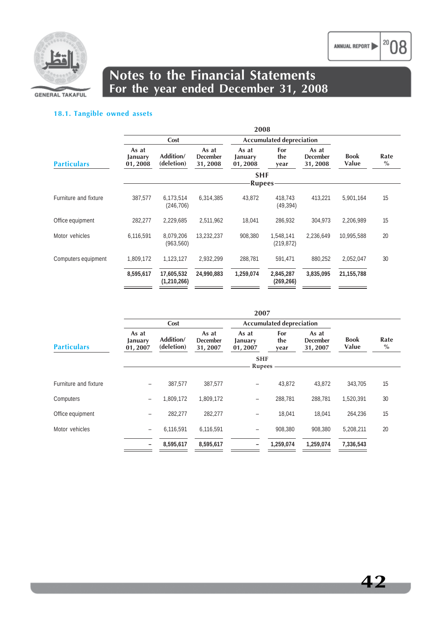

 $|^{20}08$ 

### **Notes to the Financial Statements For the year ended December 31, 2008**

### **18.1. Tangible owned assets**

| 2008                        |                           |                                     |                                 |                         |                                     |                      |              |
|-----------------------------|---------------------------|-------------------------------------|---------------------------------|-------------------------|-------------------------------------|----------------------|--------------|
| Cost                        |                           |                                     | <b>Accumulated depreciation</b> |                         |                                     |                      |              |
| As at<br>January<br>01,2008 | Addition/<br>(deletion)   | As at<br><b>December</b><br>31,2008 | As at<br>January<br>01,2008     | For<br>the<br>year      | As at<br><b>December</b><br>31,2008 | <b>Book</b><br>Value | Rate<br>$\%$ |
|                             |                           |                                     |                                 |                         |                                     |                      |              |
| 387,577                     | 6,173,514<br>(246, 706)   | 6,314,385                           | 43,872                          | 418,743<br>(49, 394)    | 413,221                             | 5,901,164            | 15           |
| 282,277                     | 2,229,685                 | 2,511,962                           | 18,041                          | 286,932                 | 304,973                             | 2,206,989            | 15           |
| 6,116,591                   | 8,079,206<br>(963, 560)   | 13,232,237                          | 908,380                         | 1,548,141<br>(219,872)  | 2,236,649                           | 10,995,588           | 20           |
| 1,809,172                   | 1,123,127                 | 2,932,299                           | 288,781                         | 591,471                 | 880,252                             | 2,052,047            | 30           |
| 8,595,617                   | 17,605,532<br>(1,210,266) | 24,990,883                          | 1,259,074                       | 2,845,287<br>(269, 266) | 3,835,095                           | 21,155,788           |              |
|                             |                           |                                     |                                 |                         | <b>SHF</b><br><b>Rupees</b>         |                      |              |

|                       |                             |                         |                                     | 2007                        |                                 |                                     |                      |                       |
|-----------------------|-----------------------------|-------------------------|-------------------------------------|-----------------------------|---------------------------------|-------------------------------------|----------------------|-----------------------|
|                       |                             | Cost                    |                                     |                             | <b>Accumulated depreciation</b> |                                     |                      |                       |
| <b>Particulars</b>    | As at<br>January<br>01,2007 | Addition/<br>(deletion) | As at<br><b>December</b><br>31,2007 | As at<br>January<br>01,2007 | For<br>the<br>year              | As at<br><b>December</b><br>31,2007 | <b>Book</b><br>Value | Rate<br>$\frac{0}{0}$ |
|                       |                             |                         |                                     | <b>SHF</b><br>Rupees        |                                 |                                     |                      |                       |
| Furniture and fixture |                             | 387,577                 | 387,577                             |                             | 43,872                          | 43,872                              | 343,705              | 15                    |
| Computers             | Ξ.                          | 1,809,172               | 1,809,172                           | -                           | 288,781                         | 288,781                             | 1,520,391            | 30                    |
| Office equipment      |                             | 282,277                 | 282,277                             | $\overline{\phantom{0}}$    | 18,041                          | 18,041                              | 264,236              | 15                    |
| Motor vehicles        | $\overline{\phantom{m}}$    | 6,116,591               | 6.116.591                           | $\overline{\phantom{0}}$    | 908.380                         | 908.380                             | 5.208.211            | 20                    |
|                       |                             | 8,595,617               | 8,595,617                           | -                           | 1,259,074                       | 1,259,074                           | 7,336,543            |                       |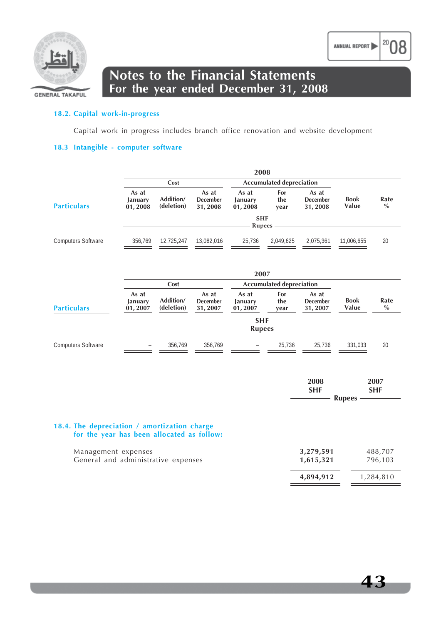

### **Notes to the Financial Statements For the year ended December 31, 2008**

#### **18.2. Capital work-in-progress**

Capital work in progress includes branch office renovation and website development

#### **18.3 Intangible - computer software**

|                           | 2008                        |                         |                                     |                             |                                 |                                     |                      |              |
|---------------------------|-----------------------------|-------------------------|-------------------------------------|-----------------------------|---------------------------------|-------------------------------------|----------------------|--------------|
|                           |                             | Cost                    |                                     |                             | <b>Accumulated depreciation</b> |                                     |                      |              |
| <b>Particulars</b>        | As at<br>January<br>01,2008 | Addition/<br>(deletion) | As at<br><b>December</b><br>31,2008 | As at<br>January<br>01,2008 | For<br>the<br>year              | As at<br><b>December</b><br>31,2008 | <b>Book</b><br>Value | Rate<br>$\%$ |
|                           |                             |                         |                                     | <b>SHF</b><br><b>Rupees</b> |                                 |                                     |                      |              |
| <b>Computers Software</b> | 356,769                     | 12.725.247              | 13.082.016                          | 25.736                      | 2.049.625                       | 2.075.361                           | 11,006,655           | 20           |

|                           |                             | 2007                    |                                     |                             |                                 |                                     |                      |              |
|---------------------------|-----------------------------|-------------------------|-------------------------------------|-----------------------------|---------------------------------|-------------------------------------|----------------------|--------------|
|                           |                             | Cost                    |                                     |                             | <b>Accumulated depreciation</b> |                                     |                      |              |
| <b>Particulars</b>        | As at<br>January<br>01,2007 | Addition/<br>(deletion) | As at<br><b>December</b><br>31,2007 | As at<br>January<br>01,2007 | For<br>the<br>year              | As at<br><b>December</b><br>31,2007 | <b>Book</b><br>Value | Rate<br>$\%$ |
|                           |                             |                         |                                     | <b>SHF</b><br><b>Rupees</b> |                                 |                                     |                      |              |
| <b>Computers Software</b> | $\qquad \qquad -$           | 356.769                 | 356.769                             | $\qquad \qquad -$           | 25.736                          | 25.736                              | 331,033              | 20           |

|                                                                                            | 2008<br><b>SHF</b><br><b>Rupees</b> | 2007<br><b>SHF</b> |
|--------------------------------------------------------------------------------------------|-------------------------------------|--------------------|
| 18.4. The depreciation / amortization charge<br>for the year has been allocated as follow: |                                     |                    |
| Management expenses<br>General and administrative expenses                                 | 3,279,591<br>1,615,321              | 488,707<br>796,103 |

**4,894,912** 1,284,810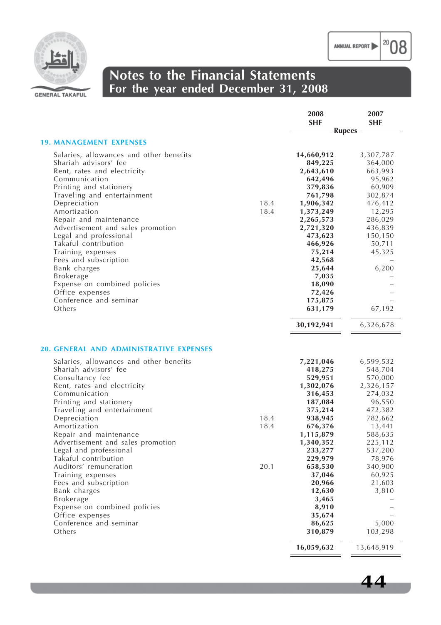$|^{20}08$ 

**44**



### **Notes to the Financial Statements For the year ended December 31, 2008**

| <b>SHF</b>                                                                                                                                                                                                                                                                                                                                                                                                                                                                                                                                                                                                                                                                                                                                                                                                   | 2007<br><b>SHF</b>                                                                                                                                                                            |
|--------------------------------------------------------------------------------------------------------------------------------------------------------------------------------------------------------------------------------------------------------------------------------------------------------------------------------------------------------------------------------------------------------------------------------------------------------------------------------------------------------------------------------------------------------------------------------------------------------------------------------------------------------------------------------------------------------------------------------------------------------------------------------------------------------------|-----------------------------------------------------------------------------------------------------------------------------------------------------------------------------------------------|
| <b>Rupees</b>                                                                                                                                                                                                                                                                                                                                                                                                                                                                                                                                                                                                                                                                                                                                                                                                |                                                                                                                                                                                               |
| <b>19. MANAGEMENT EXPENSES</b>                                                                                                                                                                                                                                                                                                                                                                                                                                                                                                                                                                                                                                                                                                                                                                               |                                                                                                                                                                                               |
| Salaries, allowances and other benefits<br>14,660,912<br>Shariah advisors' fee<br>849,225<br>Rent, rates and electricity<br>2,643,610<br>Communication<br>642,496<br>Printing and stationery<br>379,836<br>Traveling and entertainment<br>761,798<br>Depreciation<br>18.4<br>1,906,342<br>Amortization<br>18.4<br>1,373,249<br>Repair and maintenance<br>2,265,573<br>2,721,320<br>Advertisement and sales promotion<br>Legal and professional<br>473,623<br>Takaful contribution<br>466,926<br>Training expenses<br>75,214<br>Fees and subscription<br>42,568<br>Bank charges<br>25,644<br>Brokerage<br>7,035<br>18,090<br>Expense on combined policies<br>Office expenses<br>72,426<br>Conference and seminar<br>175,875<br>Others<br>631,179                                                              | 3,307,787<br>364,000<br>663,993<br>95,962<br>60,909<br>302,874<br>476,412<br>12,295<br>286,029<br>436,839<br>150,150<br>50,711<br>45,325<br>6,200<br>67,192                                   |
| 30,192,941                                                                                                                                                                                                                                                                                                                                                                                                                                                                                                                                                                                                                                                                                                                                                                                                   | 6,326,678                                                                                                                                                                                     |
| <b>20. GENERAL AND ADMINISTRATIVE EXPENSES</b><br>Salaries, allowances and other benefits<br>7,221,046<br>Shariah advisors' fee<br>418,275<br>529,951<br>Consultancy fee<br>Rent, rates and electricity<br>1,302,076<br>Communication<br>316,453<br>Printing and stationery<br>187,084<br>Traveling and entertainment<br>375,214<br>Depreciation<br>18.4<br>938,945<br>Amortization<br>18.4<br>676,376<br>Repair and maintenance<br>1,115,879<br>1,340,352<br>Advertisement and sales promotion<br>Legal and professional<br>233,277<br>Takaful contribution<br>229,979<br>Auditors' remuneration<br>20.1<br>658,530<br>Training expenses<br>37,046<br>Fees and subscription<br>20,966<br>12,630<br>Bank charges<br>3,465<br>Brokerage<br>Expense on combined policies<br>8,910<br>Office expenses<br>35,674 | 6,599,532<br>548,704<br>570,000<br>2,326,157<br>274,032<br>96,550<br>472,382<br>782,662<br>13,441<br>588,635<br>225,112<br>537,200<br>78,976<br>340,900<br>60,925<br>21,603<br>3,810<br>5,000 |
| Conference and seminar<br>86,625<br>Others<br>310,879                                                                                                                                                                                                                                                                                                                                                                                                                                                                                                                                                                                                                                                                                                                                                        | 103,298                                                                                                                                                                                       |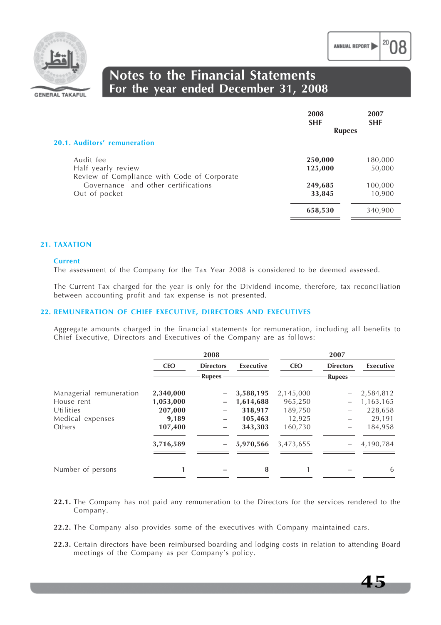

## **Notes to the Financial Statements For the year ended December 31, 2008**

|                                                                   | 2008<br><b>SHF</b><br><b>Rupees</b> | 2007<br><b>SHF</b> |
|-------------------------------------------------------------------|-------------------------------------|--------------------|
| 20.1. Auditors' remuneration                                      |                                     |                    |
| Audit fee                                                         | 250,000                             | 180,000            |
| Half yearly review<br>Review of Compliance with Code of Corporate | 125,000                             | 50,000             |
| Governance and other certifications                               | 249,685                             | 100,000            |
| Out of pocket                                                     | 33,845                              | 10,900             |
|                                                                   | 658,530                             | 340,900            |

#### **21. TAXATION**

#### **Current**

The assessment of the Company for the Tax Year 2008 is considered to be deemed assessed.

The Current Tax charged for the year is only for the Dividend income, therefore, tax reconciliation between accounting profit and tax expense is not presented.

#### **22. REMUNERATION OF CHIEF EXECUTIVE, DIRECTORS AND EXECUTIVES**

Aggregate amounts charged in the financial statements for remuneration, including all benefits to Chief Executive, Directors and Executives of the Company are as follows:

|                         |            | 2008             |           |            | 2007             |           |  |  |
|-------------------------|------------|------------------|-----------|------------|------------------|-----------|--|--|
|                         | <b>CEO</b> | <b>Directors</b> | Executive | <b>CEO</b> | <b>Directors</b> | Executive |  |  |
|                         |            | <b>Rupees</b>    |           |            | <b>Rupees</b>    |           |  |  |
| Managerial remuneration | 2,340,000  |                  | 3,588,195 | 2,145,000  |                  | 2,584,812 |  |  |
| House rent              | 1,053,000  | -                | 1,614,688 | 965,250    |                  | 1,163,165 |  |  |
| Utilities               | 207,000    | —                | 318,917   | 189,750    |                  | 228,658   |  |  |
| Medical expenses        | 9,189      | -                | 105,463   | 12,925     |                  | 29,191    |  |  |
| Others                  | 107,400    | -                | 343,303   | 160,730    |                  | 184,958   |  |  |
|                         | 3,716,589  |                  | 5,970,566 | 3,473,655  |                  | 4,190,784 |  |  |
| Number of persons       |            |                  | 8         |            |                  | 6         |  |  |

- **22.1.** The Company has not paid any remuneration to the Directors for the services rendered to the Company.
- **22.2.** The Company also provides some of the executives with Company maintained cars.
- **22.3.** Certain directors have been reimbursed boarding and lodging costs in relation to attending Board meetings of the Company as per Company's policy.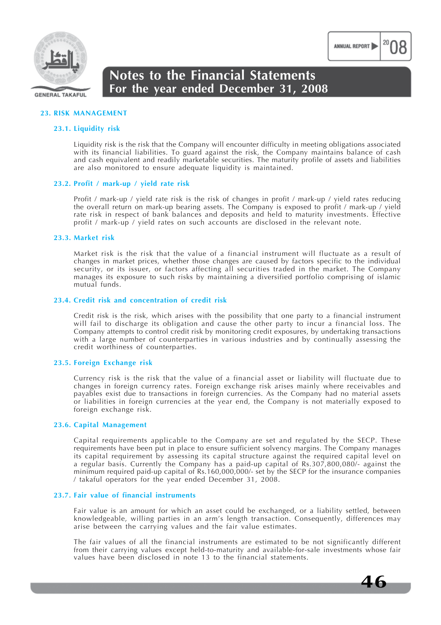

#### **GENERAL TAKAFUL**

## **Notes to the Financial Statements For the year ended December 31, 2008**

#### **23. RISK MANAGEMENT**

#### **23.1. Liquidity risk**

Liquidity risk is the risk that the Company will encounter difficulty in meeting obligations associated with its financial liabilities. To guard against the risk, the Company maintains balance of cash and cash equivalent and readily marketable securities. The maturity profile of assets and liabilities are also monitored to ensure adequate liquidity is maintained.

#### **23.2. Profit / mark-up / yield rate risk**

Profit / mark-up / yield rate risk is the risk of changes in profit / mark-up / yield rates reducing the overall return on mark-up bearing assets. The Company is exposed to profit / mark-up / yield rate risk in respect of bank balances and deposits and held to maturity investments. Effective profit / mark-up / yield rates on such accounts are disclosed in the relevant note.

#### **23.3. Market risk**

Market risk is the risk that the value of a financial instrument will fluctuate as a result of changes in market prices, whether those changes are caused by factors specific to the individual security, or its issuer, or factors affecting all securities traded in the market. The Company manages its exposure to such risks by maintaining a diversified portfolio comprising of islamic mutual funds.

#### **23.4. Credit risk and concentration of credit risk**

Credit risk is the risk, which arises with the possibility that one party to a financial instrument will fail to discharge its obligation and cause the other party to incur a financial loss. The Company attempts to control credit risk by monitoring credit exposures, by undertaking transactions with a large number of counterparties in various industries and by continually assessing the credit worthiness of counterparties.

#### **23.5. Foreign Exchange risk**

Currency risk is the risk that the value of a financial asset or liability will fluctuate due to changes in foreign currency rates. Foreign exchange risk arises mainly where receivables and payables exist due to transactions in foreign currencies. As the Company had no material assets or liabilities in foreign currencies at the year end, the Company is not materially exposed to foreign exchange risk.

#### **23.6. Capital Management**

Capital requirements applicable to the Company are set and regulated by the SECP. These requirements have been put in place to ensure sufficient solvency margins. The Company manages its capital requirement by assessing its capital structure against the required capital level on a regular basis. Currently the Company has a paid-up capital of Rs.307,800,080/- against the minimum required paid-up capital of Rs.160,000,000/- set by the SECP for the insurance companies / takaful operators for the year ended December 31, 2008.

#### **23.7. Fair value of financial instruments**

Fair value is an amount for which an asset could be exchanged, or a liability settled, between knowledgeable, willing parties in an arm's length transaction. Consequently, differences may arise between the carrying values and the fair value estimates.

The fair values of all the financial instruments are estimated to be not significantly different from their carrying values except held-to-maturity and available-for-sale investments whose fair values have been disclosed in note 13 to the financial statements.

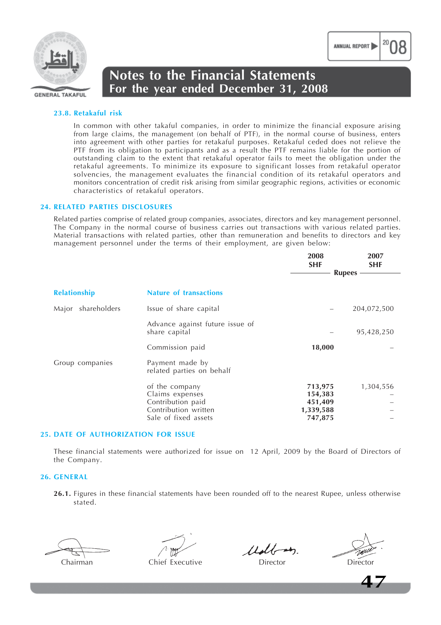

#### **23.8. Retakaful risk**

In common with other takaful companies, in order to minimize the financial exposure arising from large claims, the management (on behalf of PTF), in the normal course of business, enters into agreement with other parties for retakaful purposes. Retakaful ceded does not relieve the PTF from its obligation to participants and as a result the PTF remains liable for the portion of outstanding claim to the extent that retakaful operator fails to meet the obligation under the retakaful agreements. To minimize its exposure to significant losses from retakaful operator solvencies, the management evaluates the financial condition of its retakaful operators and monitors concentration of credit risk arising from similar geographic regions, activities or economic characteristics of retakaful operators.

#### **24. RELATED PARTIES DISCLOSURES**

Related parties comprise of related group companies, associates, directors and key management personnel. The Company in the normal course of business carries out transactions with various related parties. Material transactions with related parties, other than remuneration and benefits to directors and key management personnel under the terms of their employment, are given below:

|                       |                                                                                                        | 2008<br><b>SHF</b><br><b>Rupees</b>                   | 2007<br><b>SHF</b> |
|-----------------------|--------------------------------------------------------------------------------------------------------|-------------------------------------------------------|--------------------|
|                       |                                                                                                        |                                                       |                    |
| <b>Relationship</b>   | <b>Nature of transactions</b>                                                                          |                                                       |                    |
| shareholders<br>Major | Issue of share capital                                                                                 |                                                       | 204,072,500        |
|                       | Advance against future issue of<br>share capital                                                       |                                                       | 95,428,250         |
|                       | Commission paid                                                                                        | 18,000                                                |                    |
| Group companies       | Payment made by<br>related parties on behalf                                                           |                                                       |                    |
|                       | of the company<br>Claims expenses<br>Contribution paid<br>Contribution written<br>Sale of fixed assets | 713,975<br>154,383<br>451,409<br>1,339,588<br>747,875 | 1,304,556          |

#### **25. DATE OF AUTHORIZATION FOR ISSUE**

These financial statements were authorized for issue on 12 April, 2009 by the Board of Directors of the Company.

#### **26. GENERAL**

**26.1.** Figures in these financial statements have been rounded off to the nearest Rupee, unless otherwise stated.

Chairman Chief Executive Director Director

 $11$ dboth

**2007**

**47**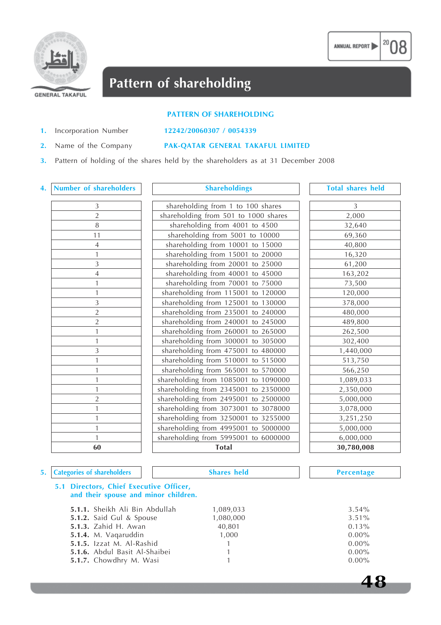

## **Pattern of shareholding**

#### **PATTERN OF SHAREHOLDING**

**1.** Incorporation Number **12242/20060307 / 0054339**

#### **2.** Name of the Company **PAK-QATAR GENERAL TAKAFUL LIMITED**

**3.** Pattern of holding of the shares held by the shareholders as at 31 December 2008

#### **4. Number of shareholders Shareholdings Total shares held**

| $\frac{3}{2}$ $\frac{2}{8}$ |  |
|-----------------------------|--|
|                             |  |
| $\overline{11}$             |  |
| $\overline{4}$              |  |
| $\overline{1}$              |  |
| $\frac{3}{4}$               |  |
|                             |  |
| $\mathbf{1}$                |  |
| $\overline{1}$              |  |
|                             |  |
|                             |  |
| $\frac{3}{2}$               |  |
| $\overline{1}$              |  |
| $\overline{1}$              |  |
| $\overline{3}$              |  |
| $\mathbf{1}$                |  |
| $\mathbf{1}$                |  |
| $\mathbf{1}$                |  |
| $\mathbf{1}$                |  |
| $\frac{2}{1}$               |  |
|                             |  |
| $\mathbf{1}$                |  |
| $\mathbf{1}$                |  |
| $\mathbf{1}$                |  |
| 60                          |  |
|                             |  |

| $\sqrt{3}$         | shareholding from 1 to 100 shares    | 3          |
|--------------------|--------------------------------------|------------|
| $\overline{2}$     | shareholding from 501 to 1000 shares | 2,000      |
| $\overline{\bf 8}$ | shareholding from 4001 to 4500       | 32,640     |
| $\overline{11}$    | shareholding from 5001 to 10000      | 69,360     |
| $\frac{4}{1}$      | shareholding from 10001 to 15000     | 40,800     |
|                    | shareholding from 15001 to 20000     | 16,320     |
| $\overline{3}$     | shareholding from 20001 to 25000     | 61,200     |
| $\overline{4}$     | shareholding from 40001 to 45000     | 163,202    |
| $\mathbf{1}$       | shareholding from 70001 to 75000     | 73,500     |
| $\mathbf{1}$       | shareholding from 115001 to 120000   | 120,000    |
| $\overline{3}$     | shareholding from 125001 to 130000   | 378,000    |
| $\overline{2}$     | shareholding from 235001 to 240000   | 480,000    |
| $\sqrt{2}$         | shareholding from 240001 to 245000   | 489,800    |
| $\overline{1}$     | shareholding from 260001 to 265000   | 262,500    |
| $\mathbf{1}$       | shareholding from 300001 to 305000   | 302,400    |
| $\overline{3}$     | shareholding from 475001 to 480000   | 1,440,000  |
| $\overline{1}$     | shareholding from 510001 to 515000   | 513,750    |
| $\overline{1}$     | shareholding from 565001 to 570000   | 566,250    |
| $\mathbf{1}$       | shareholding from 1085001 to 1090000 | 1,089,033  |
| $\overline{1}$     | shareholding from 2345001 to 2350000 | 2,350,000  |
| $\overline{2}$     | shareholding from 2495001 to 2500000 | 5,000,000  |
| $\overline{1}$     | shareholding from 3073001 to 3078000 | 3,078,000  |
| $\overline{1}$     | shareholding from 3250001 to 3255000 | 3,251,250  |
| $\frac{1}{1}$      | shareholding from 4995001 to 5000000 | 5,000,000  |
|                    | shareholding from 5995001 to 6000000 | 6,000,000  |
| 60                 | <b>Total</b>                         | 30,780,008 |
|                    |                                      |            |

| 2,000<br>32,640<br>69,360<br>40,800<br>16,320<br>61,200<br>163,202<br>73,500<br>120,000<br>378,000<br>480,000<br>489,800<br>262,500<br>302,400<br>1,440,000<br>513,750<br>566,250<br>1,089,033<br>2,350,000<br>5,000,000<br>3,078,000<br>3,251,250<br>5,000,000<br>6,000,000<br>30,780,008 |   |
|--------------------------------------------------------------------------------------------------------------------------------------------------------------------------------------------------------------------------------------------------------------------------------------------|---|
|                                                                                                                                                                                                                                                                                            | 3 |
|                                                                                                                                                                                                                                                                                            |   |
|                                                                                                                                                                                                                                                                                            |   |
|                                                                                                                                                                                                                                                                                            |   |
|                                                                                                                                                                                                                                                                                            |   |
|                                                                                                                                                                                                                                                                                            |   |
|                                                                                                                                                                                                                                                                                            |   |
|                                                                                                                                                                                                                                                                                            |   |
|                                                                                                                                                                                                                                                                                            |   |
|                                                                                                                                                                                                                                                                                            |   |
|                                                                                                                                                                                                                                                                                            |   |
|                                                                                                                                                                                                                                                                                            |   |
|                                                                                                                                                                                                                                                                                            |   |
|                                                                                                                                                                                                                                                                                            |   |
|                                                                                                                                                                                                                                                                                            |   |
|                                                                                                                                                                                                                                                                                            |   |
|                                                                                                                                                                                                                                                                                            |   |
|                                                                                                                                                                                                                                                                                            |   |
|                                                                                                                                                                                                                                                                                            |   |
|                                                                                                                                                                                                                                                                                            |   |
|                                                                                                                                                                                                                                                                                            |   |
|                                                                                                                                                                                                                                                                                            |   |
|                                                                                                                                                                                                                                                                                            |   |
|                                                                                                                                                                                                                                                                                            |   |
|                                                                                                                                                                                                                                                                                            |   |
|                                                                                                                                                                                                                                                                                            |   |

**48**

#### **5.1 Directors, Chief Executive Officer, and their spouse and minor children. 5.1.1.** Sheikh Ali Bin Abdullah 1,089,033 3.54% **5.1.2.** Said Gul & Spouse 1,080,000 3.51% **5.1.3.** Zahid H. Awan  $40,801$  0.13% **5.1.4.** M. Vaqaruddin **1,000 1,000 0.00% 0.00 5.1.5.** Izzat M. Al-Rashid 1 1 0.00% **5.1.6.** Abdul Basit Al-Shaibei 1 1 0.00% **5.1.7.** Chowdhry M. Wasi 1 0.00% **5. Categories of shareholders Shares held Percentage**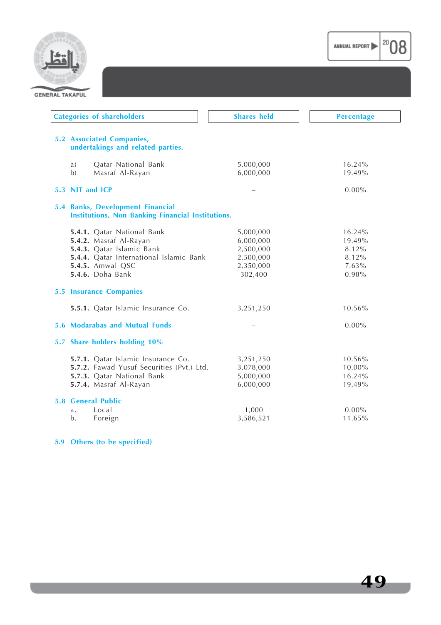



| <b>Categories of shareholders</b>                                                     | <b>Shares held</b> | <b>Percentage</b> |
|---------------------------------------------------------------------------------------|--------------------|-------------------|
| <b>5.2 Associated Companies,</b><br>undertakings and related parties.                 |                    |                   |
| Qatar National Bank<br>a)                                                             | 5,000,000          | 16.24%            |
| Masraf Al-Rayan<br>b)                                                                 | 6,000,000          | 19.49%            |
| 5.3 NIT and ICP                                                                       |                    | $0.00\%$          |
| 5.4 Banks, Development Financial<br>Institutions, Non Banking Financial Institutions. |                    |                   |
| 5.4.1. Qatar National Bank                                                            | 5,000,000          | 16.24%            |
| 5.4.2. Masraf Al-Rayan                                                                | 6,000,000          | 19.49%            |
| 5.4.3. Qatar Islamic Bank                                                             | 2,500,000          | 8.12%             |
| 5.4.4. Qatar International Islamic Bank                                               | 2,500,000          | 8.12%             |
| 5.4.5. Amwal QSC                                                                      | 2,350,000          | 7.63%             |
| 5.4.6. Doha Bank                                                                      | 302,400            | 0.98%             |
| <b>5.5 Insurance Companies</b>                                                        |                    |                   |
| 5.5.1. Qatar Islamic Insurance Co.                                                    | 3,251,250          | 10.56%            |
| <b>5.6 Modarabas and Mutual Funds</b>                                                 |                    | $0.00\%$          |
| 5.7 Share holders holding 10%                                                         |                    |                   |
| 5.7.1. Qatar Islamic Insurance Co.                                                    | 3,251,250          | 10.56%            |
| 5.7.2. Fawad Yusuf Securities (Pvt.) Ltd.                                             | 3,078,000          | 10.00%            |
| 5.7.3. Qatar National Bank                                                            | 5,000,000          | 16.24%            |
| 5.7.4. Masraf Al-Rayan                                                                | 6,000,000          | 19.49%            |
| <b>5.8 General Public</b>                                                             |                    |                   |
| Local<br>a.                                                                           | 1,000              | $0.00\%$          |
| b.<br>Foreign                                                                         | 3,586,521          | 11.65%            |
|                                                                                       |                    |                   |

#### **5.9 Others (to be specified)**